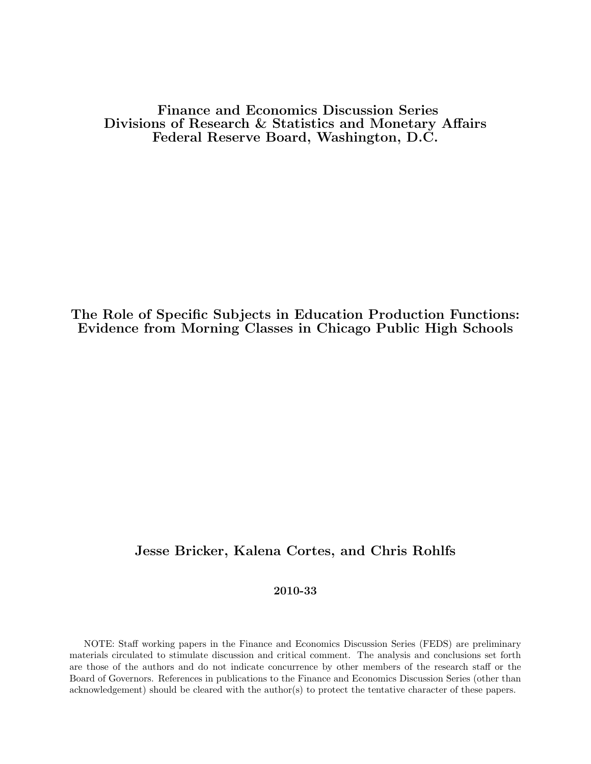Finance and Economics Discussion Series Divisions of Research & Statistics and Monetary Affairs Federal Reserve Board, Washington, D.C.

The Role of Specific Subjects in Education Production Functions: Evidence from Morning Classes in Chicago Public High Schools

# Jesse Bricker, Kalena Cortes, and Chris Rohlfs

# 2010-33

NOTE: Staff working papers in the Finance and Economics Discussion Series (FEDS) are preliminary materials circulated to stimulate discussion and critical comment. The analysis and conclusions set forth are those of the authors and do not indicate concurrence by other members of the research staff or the Board of Governors. References in publications to the Finance and Economics Discussion Series (other than acknowledgement) should be cleared with the author(s) to protect the tentative character of these papers.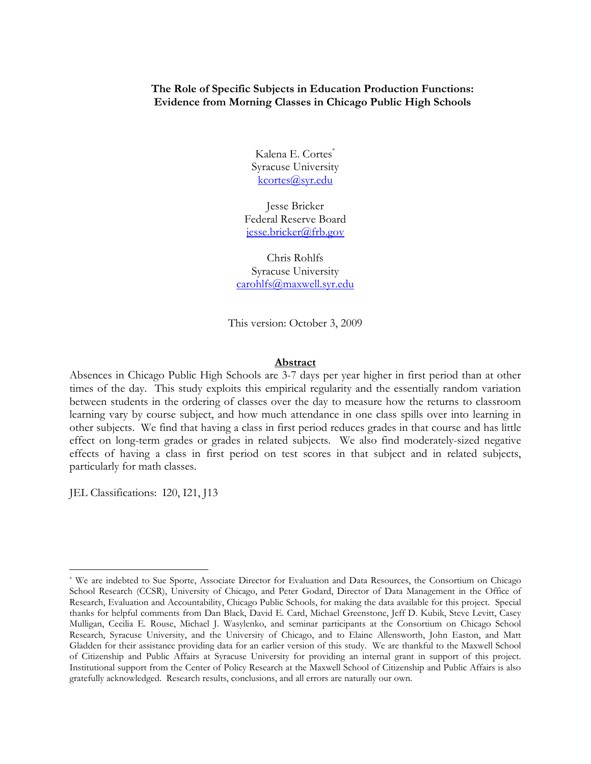# **The Role of Specific Subjects in Education Production Functions: Evidence from Morning Classes in Chicago Public High Schools**

Kalena E. Cortes<sup>\*</sup> Syracuse University kcortes@syr.edu

Jesse Bricker Federal Reserve Board jesse.bricker@frb.gov

Chris Rohlfs Syracuse University carohlfs@maxwell.syr.edu

This version: October 3, 2009

#### **Abstract**

Absences in Chicago Public High Schools are 3-7 days per year higher in first period than at other times of the day. This study exploits this empirical regularity and the essentially random variation between students in the ordering of classes over the day to measure how the returns to classroom learning vary by course subject, and how much attendance in one class spills over into learning in other subjects. We find that having a class in first period reduces grades in that course and has little effect on long-term grades or grades in related subjects. We also find moderately-sized negative effects of having a class in first period on test scores in that subject and in related subjects, particularly for math classes.

JEL Classifications: I20, I21, J13

 $\overline{a}$ 

<sup>\*</sup> We are indebted to Sue Sporte, Associate Director for Evaluation and Data Resources, the Consortium on Chicago School Research (CCSR), University of Chicago, and Peter Godard, Director of Data Management in the Office of Research, Evaluation and Accountability, Chicago Public Schools, for making the data available for this project. Special thanks for helpful comments from Dan Black, David E. Card, Michael Greenstone, Jeff D. Kubik, Steve Levitt, Casey Mulligan, Cecilia E. Rouse, Michael J. Wasylenko, and seminar participants at the Consortium on Chicago School Research, Syracuse University, and the University of Chicago, and to Elaine Allensworth, John Easton, and Matt Gladden for their assistance providing data for an earlier version of this study. We are thankful to the Maxwell School of Citizenship and Public Affairs at Syracuse University for providing an internal grant in support of this project. Institutional support from the Center of Policy Research at the Maxwell School of Citizenship and Public Affairs is also gratefully acknowledged. Research results, conclusions, and all errors are naturally our own.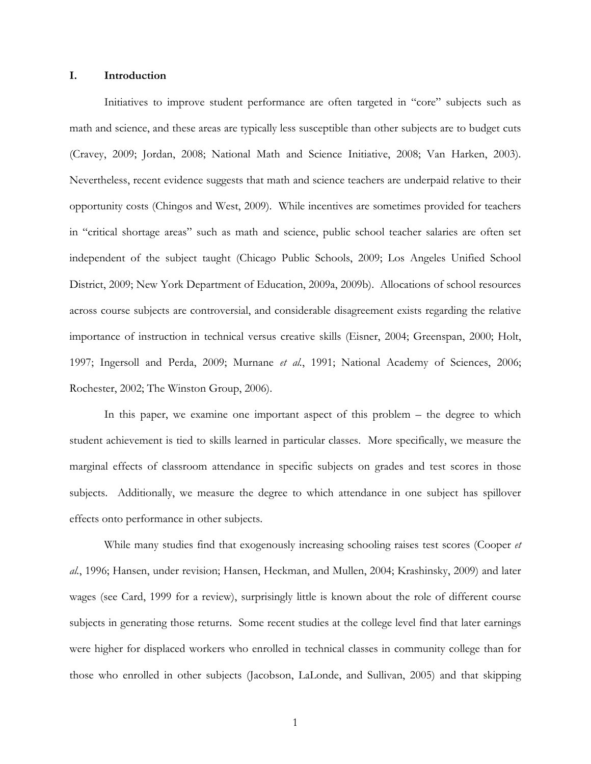## **I. Introduction**

Initiatives to improve student performance are often targeted in "core" subjects such as math and science, and these areas are typically less susceptible than other subjects are to budget cuts (Cravey, 2009; Jordan, 2008; National Math and Science Initiative, 2008; Van Harken, 2003). Nevertheless, recent evidence suggests that math and science teachers are underpaid relative to their opportunity costs (Chingos and West, 2009). While incentives are sometimes provided for teachers in "critical shortage areas" such as math and science, public school teacher salaries are often set independent of the subject taught (Chicago Public Schools, 2009; Los Angeles Unified School District, 2009; New York Department of Education, 2009a, 2009b). Allocations of school resources across course subjects are controversial, and considerable disagreement exists regarding the relative importance of instruction in technical versus creative skills (Eisner, 2004; Greenspan, 2000; Holt, 1997; Ingersoll and Perda, 2009; Murnane *et al.*, 1991; National Academy of Sciences, 2006; Rochester, 2002; The Winston Group, 2006).

In this paper, we examine one important aspect of this problem – the degree to which student achievement is tied to skills learned in particular classes. More specifically, we measure the marginal effects of classroom attendance in specific subjects on grades and test scores in those subjects. Additionally, we measure the degree to which attendance in one subject has spillover effects onto performance in other subjects.

 While many studies find that exogenously increasing schooling raises test scores (Cooper *et al.*, 1996; Hansen, under revision; Hansen, Heckman, and Mullen, 2004; Krashinsky, 2009) and later wages (see Card, 1999 for a review), surprisingly little is known about the role of different course subjects in generating those returns. Some recent studies at the college level find that later earnings were higher for displaced workers who enrolled in technical classes in community college than for those who enrolled in other subjects (Jacobson, LaLonde, and Sullivan, 2005) and that skipping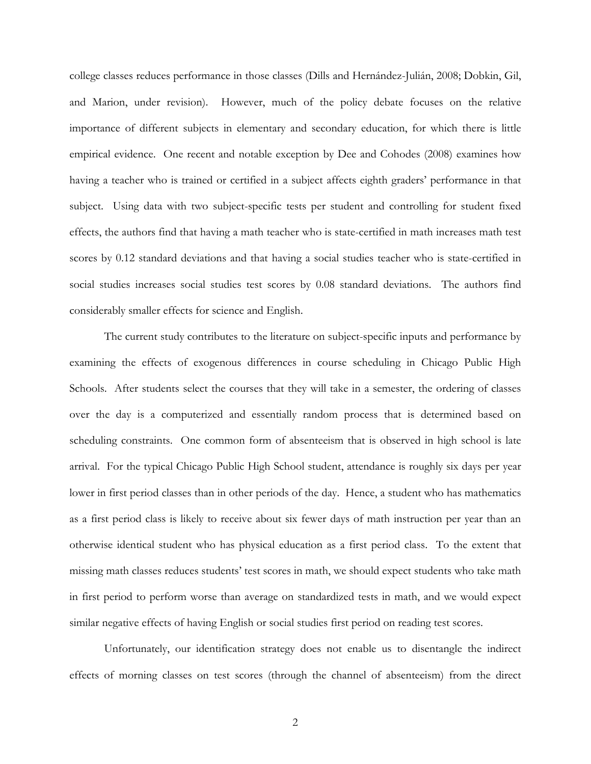college classes reduces performance in those classes (Dills and Hernández-Julián, 2008; Dobkin, Gil, and Marion, under revision). However, much of the policy debate focuses on the relative importance of different subjects in elementary and secondary education, for which there is little empirical evidence. One recent and notable exception by Dee and Cohodes (2008) examines how having a teacher who is trained or certified in a subject affects eighth graders' performance in that subject. Using data with two subject-specific tests per student and controlling for student fixed effects, the authors find that having a math teacher who is state-certified in math increases math test scores by 0.12 standard deviations and that having a social studies teacher who is state-certified in social studies increases social studies test scores by 0.08 standard deviations. The authors find considerably smaller effects for science and English.

The current study contributes to the literature on subject-specific inputs and performance by examining the effects of exogenous differences in course scheduling in Chicago Public High Schools. After students select the courses that they will take in a semester, the ordering of classes over the day is a computerized and essentially random process that is determined based on scheduling constraints. One common form of absenteeism that is observed in high school is late arrival. For the typical Chicago Public High School student, attendance is roughly six days per year lower in first period classes than in other periods of the day. Hence, a student who has mathematics as a first period class is likely to receive about six fewer days of math instruction per year than an otherwise identical student who has physical education as a first period class. To the extent that missing math classes reduces students' test scores in math, we should expect students who take math in first period to perform worse than average on standardized tests in math, and we would expect similar negative effects of having English or social studies first period on reading test scores.

Unfortunately, our identification strategy does not enable us to disentangle the indirect effects of morning classes on test scores (through the channel of absenteeism) from the direct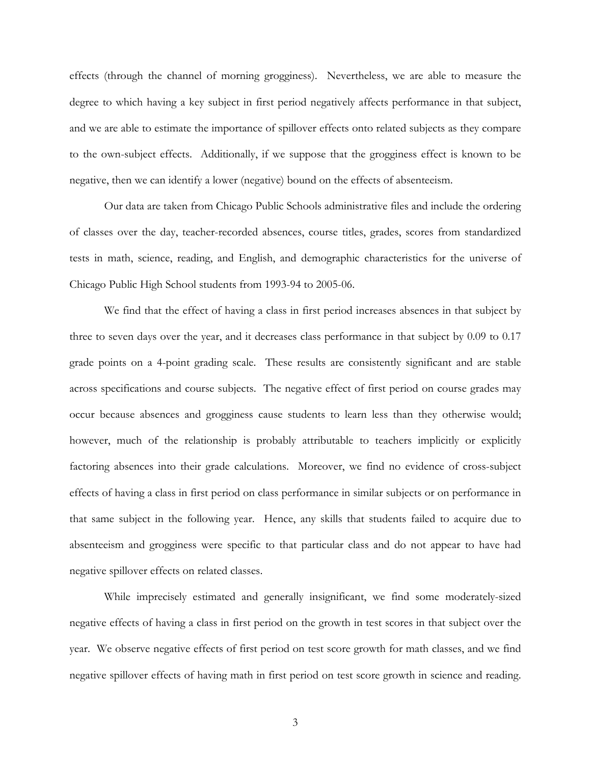effects (through the channel of morning grogginess). Nevertheless, we are able to measure the degree to which having a key subject in first period negatively affects performance in that subject, and we are able to estimate the importance of spillover effects onto related subjects as they compare to the own-subject effects. Additionally, if we suppose that the grogginess effect is known to be negative, then we can identify a lower (negative) bound on the effects of absenteeism.

Our data are taken from Chicago Public Schools administrative files and include the ordering of classes over the day, teacher-recorded absences, course titles, grades, scores from standardized tests in math, science, reading, and English, and demographic characteristics for the universe of Chicago Public High School students from 1993-94 to 2005-06.

We find that the effect of having a class in first period increases absences in that subject by three to seven days over the year, and it decreases class performance in that subject by 0.09 to 0.17 grade points on a 4-point grading scale. These results are consistently significant and are stable across specifications and course subjects. The negative effect of first period on course grades may occur because absences and grogginess cause students to learn less than they otherwise would; however, much of the relationship is probably attributable to teachers implicitly or explicitly factoring absences into their grade calculations. Moreover, we find no evidence of cross-subject effects of having a class in first period on class performance in similar subjects or on performance in that same subject in the following year. Hence, any skills that students failed to acquire due to absenteeism and grogginess were specific to that particular class and do not appear to have had negative spillover effects on related classes.

While imprecisely estimated and generally insignificant, we find some moderately-sized negative effects of having a class in first period on the growth in test scores in that subject over the year. We observe negative effects of first period on test score growth for math classes, and we find negative spillover effects of having math in first period on test score growth in science and reading.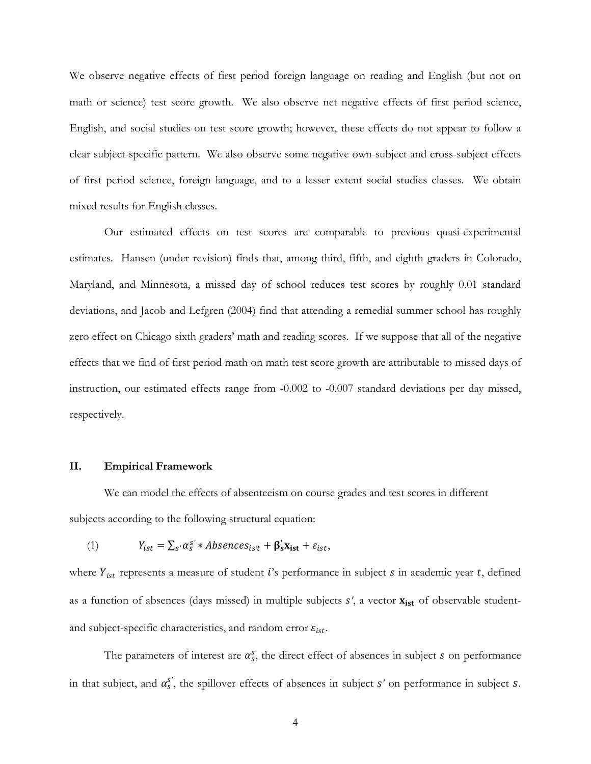We observe negative effects of first period foreign language on reading and English (but not on math or science) test score growth. We also observe net negative effects of first period science, English, and social studies on test score growth; however, these effects do not appear to follow a clear subject-specific pattern. We also observe some negative own-subject and cross-subject effects of first period science, foreign language, and to a lesser extent social studies classes. We obtain mixed results for English classes.

Our estimated effects on test scores are comparable to previous quasi-experimental estimates. Hansen (under revision) finds that, among third, fifth, and eighth graders in Colorado, Maryland, and Minnesota, a missed day of school reduces test scores by roughly 0.01 standard deviations, and Jacob and Lefgren (2004) find that attending a remedial summer school has roughly zero effect on Chicago sixth graders' math and reading scores. If we suppose that all of the negative effects that we find of first period math on math test score growth are attributable to missed days of instruction, our estimated effects range from -0.002 to -0.007 standard deviations per day missed, respectively.

# **II. Empirical Framework**

We can model the effects of absenteeism on course grades and test scores in different subjects according to the following structural equation:

(1) 
$$
Y_{ist} = \sum_{s'} \alpha_s^{s'} * Absences_{is't} + \beta_s' \mathbf{x}_{ist} + \varepsilon_{ist},
$$

where  $Y_{ist}$  represents a measure of student  $i$ 's performance in subject  $s$  in academic year  $t$ , defined as a function of absences (days missed) in multiple subjects  $s'$ , a vector  $x_{ist}$  of observable studentand subject-specific characteristics, and random error  $\varepsilon_{ist}$ .

The parameters of interest are  $\alpha_s^s$ , the direct effect of absences in subject  $s$  on performance in that subject, and  $\alpha_s^{s'}$ , the spillover effects of absences in subject s' on performance in subject s.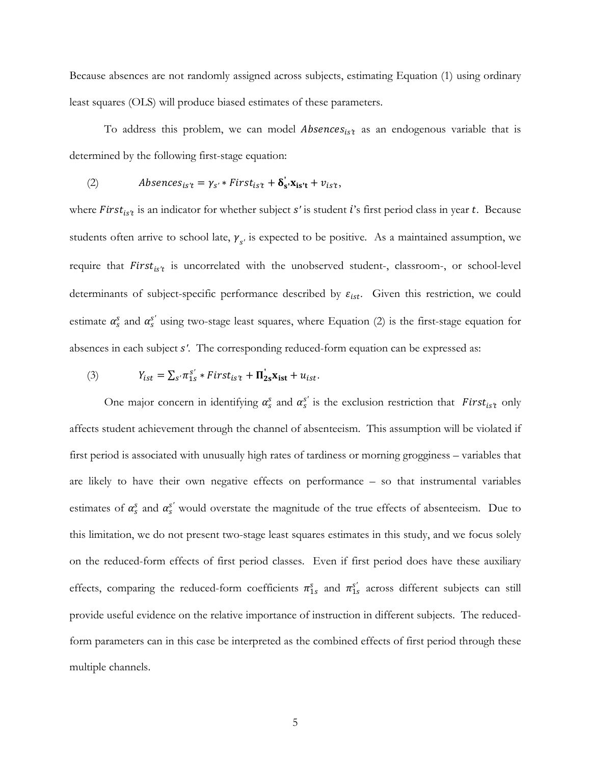Because absences are not randomly assigned across subjects, estimating Equation (1) using ordinary least squares (OLS) will produce biased estimates of these parameters.

To address this problem, we can model *Absences*<sub>is't</sub> as an endogenous variable that is determined by the following first-stage equation:

(2) 
$$
Absences_{is't} = \gamma_{s'} * First_{is't} + \delta'_{s'}x_{is't} + v_{is't},
$$

where First<sub>is't</sub> is an indicator for whether subject s' is student *i*'s first period class in year *t*. Because students often arrive to school late,  $\gamma_{s'}$  is expected to be positive. As a maintained assumption, we require that  $First_{is't}$  is uncorrelated with the unobserved student-, classroom-, or school-level determinants of subject-specific performance described by  $\varepsilon_{ist}$ . Given this restriction, we could estimate  $\alpha_s^s$  and  $\alpha_s^{s'}$  using two-stage least squares, where Equation (2) is the first-stage equation for absences in each subject s'. The corresponding reduced-form equation can be expressed as:

(3) 
$$
Y_{ist} = \sum_{s'} \pi_{1s}^{s'} * First_{is't} + \Pi_{2s}'\mathbf{x}_{ist} + u_{ist}.
$$

One major concern in identifying  $\alpha_s^s$  and  $\alpha_s^{s'}$  is the exclusion restriction that *First*<sub>is't</sub> only affects student achievement through the channel of absenteeism. This assumption will be violated if first period is associated with unusually high rates of tardiness or morning grogginess – variables that are likely to have their own negative effects on performance – so that instrumental variables estimates of  $\alpha_s^s$  and  $\alpha_s^{s'}$  would overstate the magnitude of the true effects of absenteeism. Due to this limitation, we do not present two-stage least squares estimates in this study, and we focus solely on the reduced-form effects of first period classes. Even if first period does have these auxiliary effects, comparing the reduced-form coefficients  $\pi_{1s}^s$  and  $\pi_{1s}^{s'}$  across different subjects can still provide useful evidence on the relative importance of instruction in different subjects. The reducedform parameters can in this case be interpreted as the combined effects of first period through these multiple channels.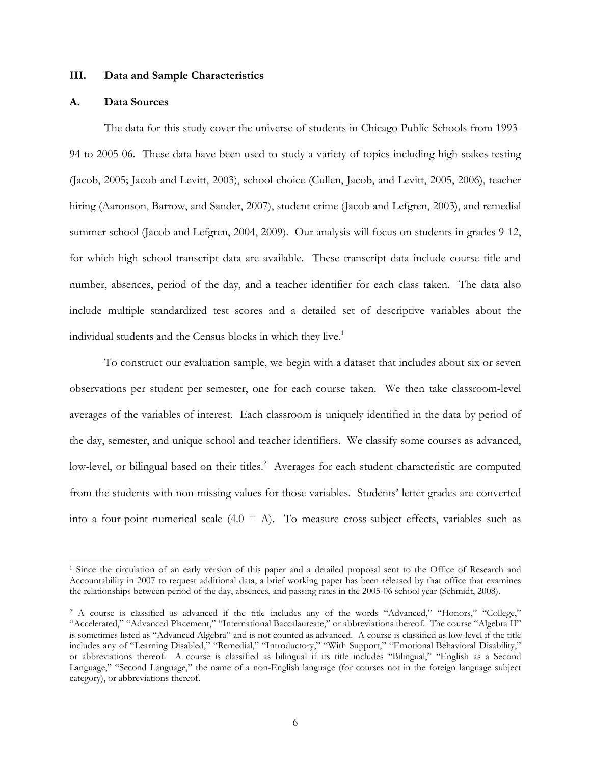# **III. Data and Sample Characteristics**

# **A. Data Sources**

1

The data for this study cover the universe of students in Chicago Public Schools from 1993- 94 to 2005-06. These data have been used to study a variety of topics including high stakes testing (Jacob, 2005; Jacob and Levitt, 2003), school choice (Cullen, Jacob, and Levitt, 2005, 2006), teacher hiring (Aaronson, Barrow, and Sander, 2007), student crime (Jacob and Lefgren, 2003), and remedial summer school (Jacob and Lefgren, 2004, 2009). Our analysis will focus on students in grades 9-12, for which high school transcript data are available. These transcript data include course title and number, absences, period of the day, and a teacher identifier for each class taken. The data also include multiple standardized test scores and a detailed set of descriptive variables about the individual students and the Census blocks in which they live.<sup>1</sup>

 To construct our evaluation sample, we begin with a dataset that includes about six or seven observations per student per semester, one for each course taken. We then take classroom-level averages of the variables of interest. Each classroom is uniquely identified in the data by period of the day, semester, and unique school and teacher identifiers. We classify some courses as advanced, low-level, or bilingual based on their titles.<sup>2</sup> Averages for each student characteristic are computed from the students with non-missing values for those variables. Students' letter grades are converted into a four-point numerical scale  $(4.0 = A)$ . To measure cross-subject effects, variables such as

<sup>1</sup> Since the circulation of an early version of this paper and a detailed proposal sent to the Office of Research and Accountability in 2007 to request additional data, a brief working paper has been released by that office that examines the relationships between period of the day, absences, and passing rates in the 2005-06 school year (Schmidt, 2008).

<sup>&</sup>lt;sup>2</sup> A course is classified as advanced if the title includes any of the words "Advanced," "Honors," "College," "Accelerated," "Advanced Placement," "International Baccalaureate," or abbreviations thereof. The course "Algebra II" is sometimes listed as "Advanced Algebra" and is not counted as advanced. A course is classified as low-level if the title includes any of "Learning Disabled," "Remedial," "Introductory," "With Support," "Emotional Behavioral Disability," or abbreviations thereof. A course is classified as bilingual if its title includes "Bilingual," "English as a Second Language," "Second Language," the name of a non-English language (for courses not in the foreign language subject category), or abbreviations thereof.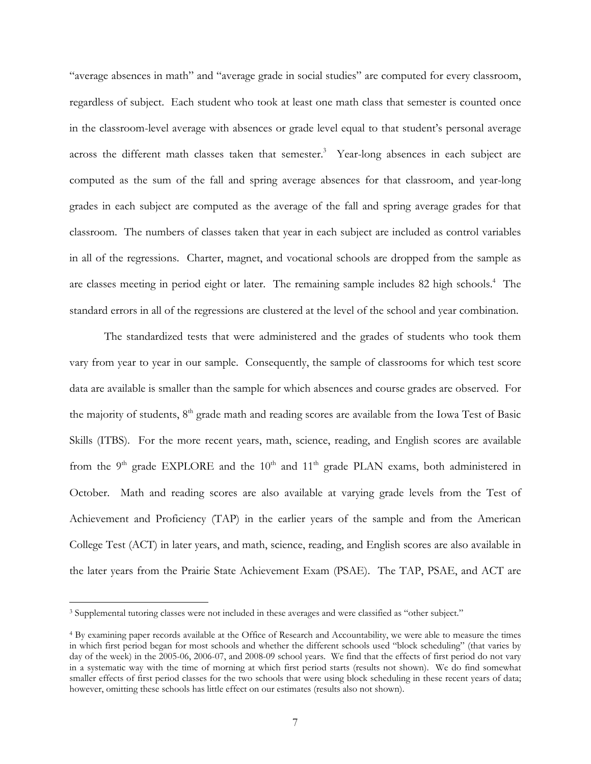"average absences in math" and "average grade in social studies" are computed for every classroom, regardless of subject. Each student who took at least one math class that semester is counted once in the classroom-level average with absences or grade level equal to that student's personal average across the different math classes taken that semester. $3$  Year-long absences in each subject are computed as the sum of the fall and spring average absences for that classroom, and year-long grades in each subject are computed as the average of the fall and spring average grades for that classroom. The numbers of classes taken that year in each subject are included as control variables in all of the regressions. Charter, magnet, and vocational schools are dropped from the sample as are classes meeting in period eight or later. The remaining sample includes 82 high schools.<sup>4</sup> The standard errors in all of the regressions are clustered at the level of the school and year combination.

 The standardized tests that were administered and the grades of students who took them vary from year to year in our sample. Consequently, the sample of classrooms for which test score data are available is smaller than the sample for which absences and course grades are observed. For the majority of students,  $8<sup>th</sup>$  grade math and reading scores are available from the Iowa Test of Basic Skills (ITBS). For the more recent years, math, science, reading, and English scores are available from the 9<sup>th</sup> grade EXPLORE and the  $10^{th}$  and  $11^{th}$  grade PLAN exams, both administered in October. Math and reading scores are also available at varying grade levels from the Test of Achievement and Proficiency (TAP) in the earlier years of the sample and from the American College Test (ACT) in later years, and math, science, reading, and English scores are also available in the later years from the Prairie State Achievement Exam (PSAE). The TAP, PSAE, and ACT are

 $\overline{a}$ 

<sup>3</sup> Supplemental tutoring classes were not included in these averages and were classified as "other subject."

<sup>4</sup> By examining paper records available at the Office of Research and Accountability, we were able to measure the times in which first period began for most schools and whether the different schools used "block scheduling" (that varies by day of the week) in the 2005-06, 2006-07, and 2008-09 school years. We find that the effects of first period do not vary in a systematic way with the time of morning at which first period starts (results not shown). We do find somewhat smaller effects of first period classes for the two schools that were using block scheduling in these recent years of data; however, omitting these schools has little effect on our estimates (results also not shown).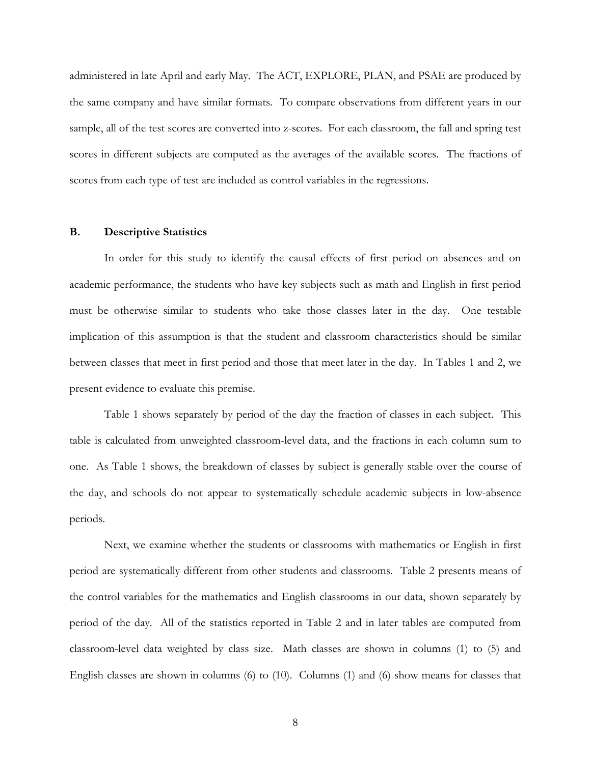administered in late April and early May. The ACT, EXPLORE, PLAN, and PSAE are produced by the same company and have similar formats. To compare observations from different years in our sample, all of the test scores are converted into z-scores. For each classroom, the fall and spring test scores in different subjects are computed as the averages of the available scores. The fractions of scores from each type of test are included as control variables in the regressions.

#### **B. Descriptive Statistics**

 In order for this study to identify the causal effects of first period on absences and on academic performance, the students who have key subjects such as math and English in first period must be otherwise similar to students who take those classes later in the day. One testable implication of this assumption is that the student and classroom characteristics should be similar between classes that meet in first period and those that meet later in the day. In Tables 1 and 2, we present evidence to evaluate this premise.

 Table 1 shows separately by period of the day the fraction of classes in each subject. This table is calculated from unweighted classroom-level data, and the fractions in each column sum to one. As Table 1 shows, the breakdown of classes by subject is generally stable over the course of the day, and schools do not appear to systematically schedule academic subjects in low-absence periods.

 Next, we examine whether the students or classrooms with mathematics or English in first period are systematically different from other students and classrooms. Table 2 presents means of the control variables for the mathematics and English classrooms in our data, shown separately by period of the day. All of the statistics reported in Table 2 and in later tables are computed from classroom-level data weighted by class size. Math classes are shown in columns (1) to (5) and English classes are shown in columns (6) to (10). Columns (1) and (6) show means for classes that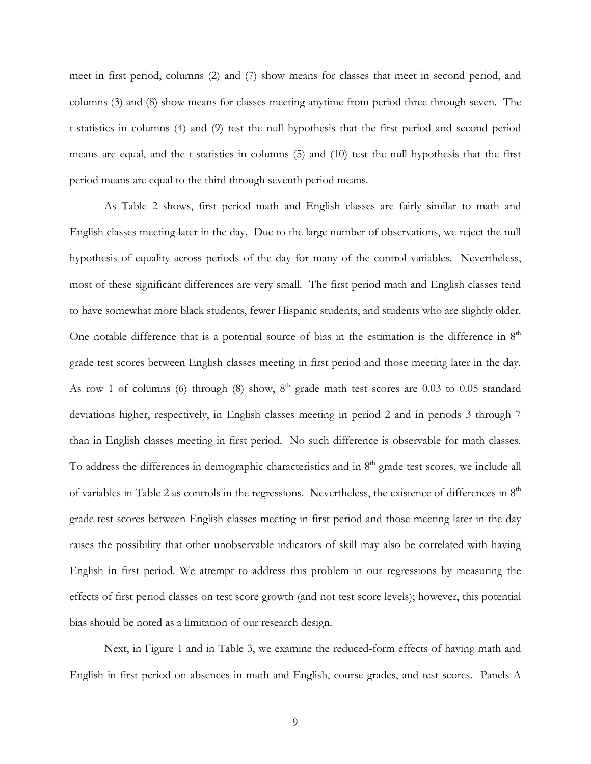meet in first period, columns (2) and (7) show means for classes that meet in second period, and columns (3) and (8) show means for classes meeting anytime from period three through seven. The t-statistics in columns (4) and (9) test the null hypothesis that the first period and second period means are equal, and the t-statistics in columns (5) and (10) test the null hypothesis that the first period means are equal to the third through seventh period means.

 As Table 2 shows, first period math and English classes are fairly similar to math and English classes meeting later in the day. Due to the large number of observations, we reject the null hypothesis of equality across periods of the day for many of the control variables. Nevertheless, most of these significant differences are very small. The first period math and English classes tend to have somewhat more black students, fewer Hispanic students, and students who are slightly older. One notable difference that is a potential source of bias in the estimation is the difference in  $8<sup>th</sup>$ grade test scores between English classes meeting in first period and those meeting later in the day. As row 1 of columns (6) through (8) show,  $8<sup>th</sup>$  grade math test scores are 0.03 to 0.05 standard deviations higher, respectively, in English classes meeting in period 2 and in periods 3 through 7 than in English classes meeting in first period. No such difference is observable for math classes. To address the differences in demographic characteristics and in  $8<sup>th</sup>$  grade test scores, we include all of variables in Table 2 as controls in the regressions. Nevertheless, the existence of differences in 8<sup>th</sup> grade test scores between English classes meeting in first period and those meeting later in the day raises the possibility that other unobservable indicators of skill may also be correlated with having English in first period. We attempt to address this problem in our regressions by measuring the effects of first period classes on test score growth (and not test score levels); however, this potential bias should be noted as a limitation of our research design.

 Next, in Figure 1 and in Table 3, we examine the reduced-form effects of having math and English in first period on absences in math and English, course grades, and test scores. Panels A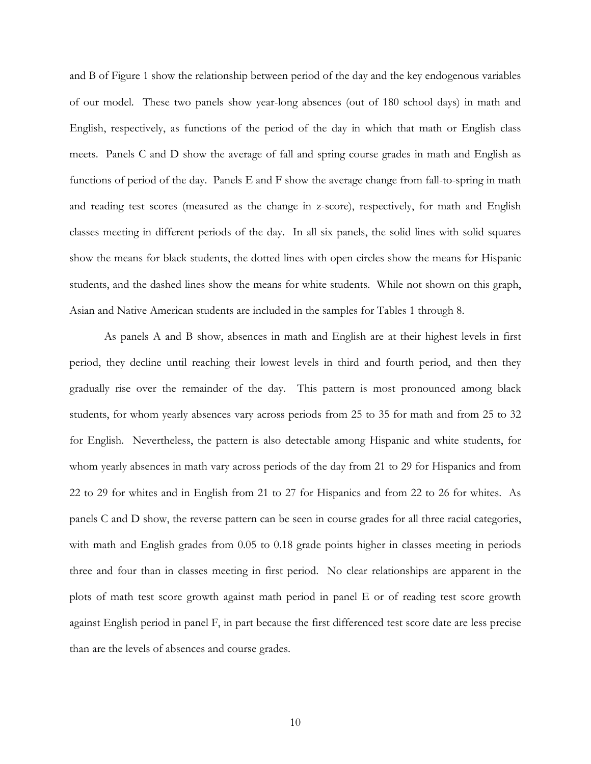and B of Figure 1 show the relationship between period of the day and the key endogenous variables of our model. These two panels show year-long absences (out of 180 school days) in math and English, respectively, as functions of the period of the day in which that math or English class meets. Panels C and D show the average of fall and spring course grades in math and English as functions of period of the day. Panels E and F show the average change from fall-to-spring in math and reading test scores (measured as the change in z-score), respectively, for math and English classes meeting in different periods of the day. In all six panels, the solid lines with solid squares show the means for black students, the dotted lines with open circles show the means for Hispanic students, and the dashed lines show the means for white students. While not shown on this graph, Asian and Native American students are included in the samples for Tables 1 through 8.

 As panels A and B show, absences in math and English are at their highest levels in first period, they decline until reaching their lowest levels in third and fourth period, and then they gradually rise over the remainder of the day. This pattern is most pronounced among black students, for whom yearly absences vary across periods from 25 to 35 for math and from 25 to 32 for English. Nevertheless, the pattern is also detectable among Hispanic and white students, for whom yearly absences in math vary across periods of the day from 21 to 29 for Hispanics and from 22 to 29 for whites and in English from 21 to 27 for Hispanics and from 22 to 26 for whites. As panels C and D show, the reverse pattern can be seen in course grades for all three racial categories, with math and English grades from 0.05 to 0.18 grade points higher in classes meeting in periods three and four than in classes meeting in first period. No clear relationships are apparent in the plots of math test score growth against math period in panel E or of reading test score growth against English period in panel F, in part because the first differenced test score date are less precise than are the levels of absences and course grades.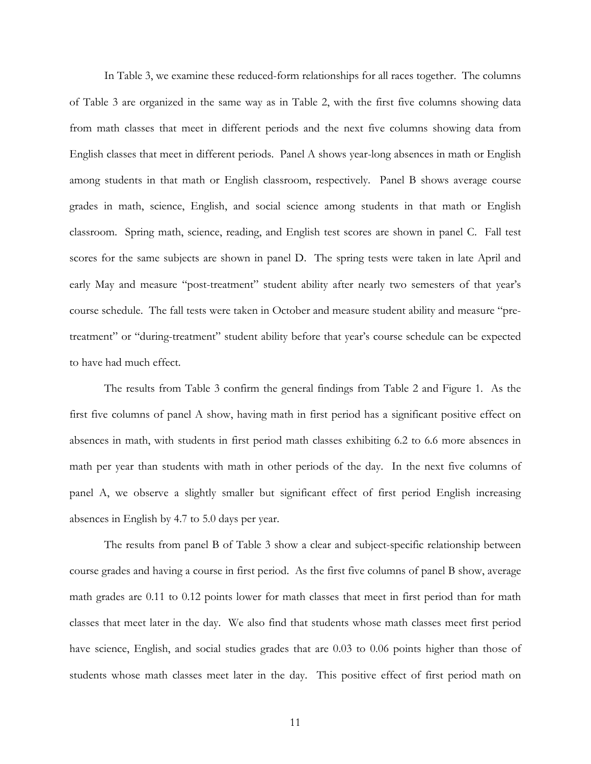In Table 3, we examine these reduced-form relationships for all races together. The columns of Table 3 are organized in the same way as in Table 2, with the first five columns showing data from math classes that meet in different periods and the next five columns showing data from English classes that meet in different periods. Panel A shows year-long absences in math or English among students in that math or English classroom, respectively. Panel B shows average course grades in math, science, English, and social science among students in that math or English classroom. Spring math, science, reading, and English test scores are shown in panel C. Fall test scores for the same subjects are shown in panel D. The spring tests were taken in late April and early May and measure "post-treatment" student ability after nearly two semesters of that year's course schedule. The fall tests were taken in October and measure student ability and measure "pretreatment" or "during-treatment" student ability before that year's course schedule can be expected to have had much effect.

 The results from Table 3 confirm the general findings from Table 2 and Figure 1. As the first five columns of panel A show, having math in first period has a significant positive effect on absences in math, with students in first period math classes exhibiting 6.2 to 6.6 more absences in math per year than students with math in other periods of the day. In the next five columns of panel A, we observe a slightly smaller but significant effect of first period English increasing absences in English by 4.7 to 5.0 days per year.

 The results from panel B of Table 3 show a clear and subject-specific relationship between course grades and having a course in first period. As the first five columns of panel B show, average math grades are 0.11 to 0.12 points lower for math classes that meet in first period than for math classes that meet later in the day. We also find that students whose math classes meet first period have science, English, and social studies grades that are 0.03 to 0.06 points higher than those of students whose math classes meet later in the day. This positive effect of first period math on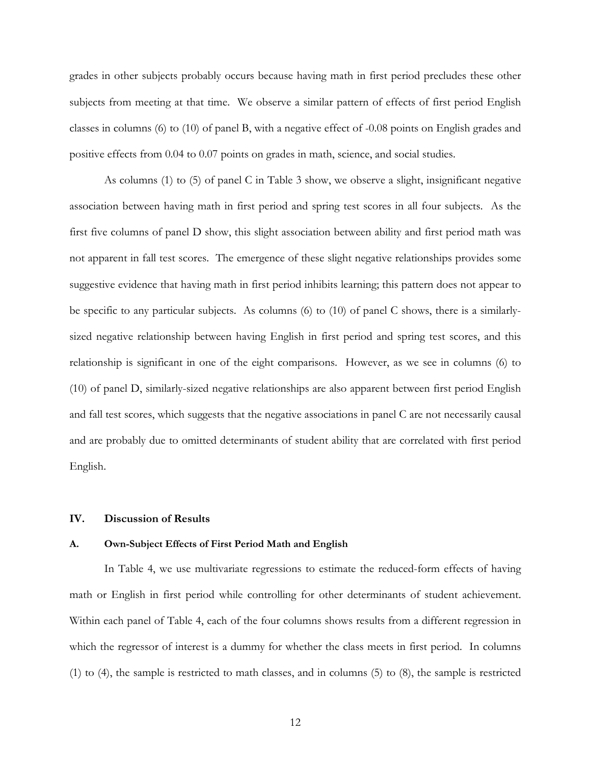grades in other subjects probably occurs because having math in first period precludes these other subjects from meeting at that time. We observe a similar pattern of effects of first period English classes in columns (6) to (10) of panel B, with a negative effect of -0.08 points on English grades and positive effects from 0.04 to 0.07 points on grades in math, science, and social studies.

As columns (1) to (5) of panel C in Table 3 show, we observe a slight, insignificant negative association between having math in first period and spring test scores in all four subjects. As the first five columns of panel D show, this slight association between ability and first period math was not apparent in fall test scores. The emergence of these slight negative relationships provides some suggestive evidence that having math in first period inhibits learning; this pattern does not appear to be specific to any particular subjects. As columns (6) to (10) of panel C shows, there is a similarlysized negative relationship between having English in first period and spring test scores, and this relationship is significant in one of the eight comparisons. However, as we see in columns (6) to (10) of panel D, similarly-sized negative relationships are also apparent between first period English and fall test scores, which suggests that the negative associations in panel C are not necessarily causal and are probably due to omitted determinants of student ability that are correlated with first period English.

#### **IV. Discussion of Results**

#### **A. Own-Subject Effects of First Period Math and English**

In Table 4, we use multivariate regressions to estimate the reduced-form effects of having math or English in first period while controlling for other determinants of student achievement. Within each panel of Table 4, each of the four columns shows results from a different regression in which the regressor of interest is a dummy for whether the class meets in first period. In columns (1) to (4), the sample is restricted to math classes, and in columns (5) to (8), the sample is restricted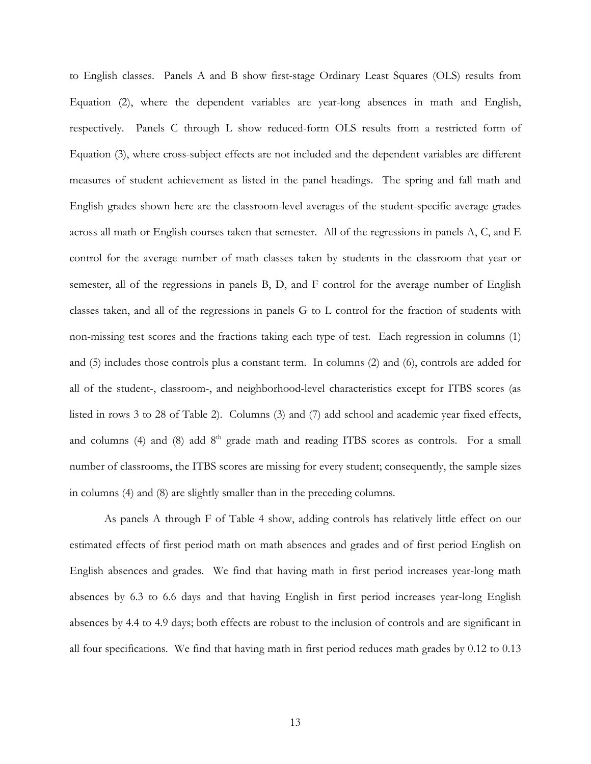to English classes. Panels A and B show first-stage Ordinary Least Squares (OLS) results from Equation (2), where the dependent variables are year-long absences in math and English, respectively. Panels C through L show reduced-form OLS results from a restricted form of Equation (3), where cross-subject effects are not included and the dependent variables are different measures of student achievement as listed in the panel headings. The spring and fall math and English grades shown here are the classroom-level averages of the student-specific average grades across all math or English courses taken that semester. All of the regressions in panels A, C, and E control for the average number of math classes taken by students in the classroom that year or semester, all of the regressions in panels B, D, and F control for the average number of English classes taken, and all of the regressions in panels G to L control for the fraction of students with non-missing test scores and the fractions taking each type of test. Each regression in columns (1) and (5) includes those controls plus a constant term. In columns (2) and (6), controls are added for all of the student-, classroom-, and neighborhood-level characteristics except for ITBS scores (as listed in rows 3 to 28 of Table 2). Columns (3) and (7) add school and academic year fixed effects, and columns (4) and (8) add  $8<sup>th</sup>$  grade math and reading ITBS scores as controls. For a small number of classrooms, the ITBS scores are missing for every student; consequently, the sample sizes in columns (4) and (8) are slightly smaller than in the preceding columns.

 As panels A through F of Table 4 show, adding controls has relatively little effect on our estimated effects of first period math on math absences and grades and of first period English on English absences and grades. We find that having math in first period increases year-long math absences by 6.3 to 6.6 days and that having English in first period increases year-long English absences by 4.4 to 4.9 days; both effects are robust to the inclusion of controls and are significant in all four specifications. We find that having math in first period reduces math grades by 0.12 to 0.13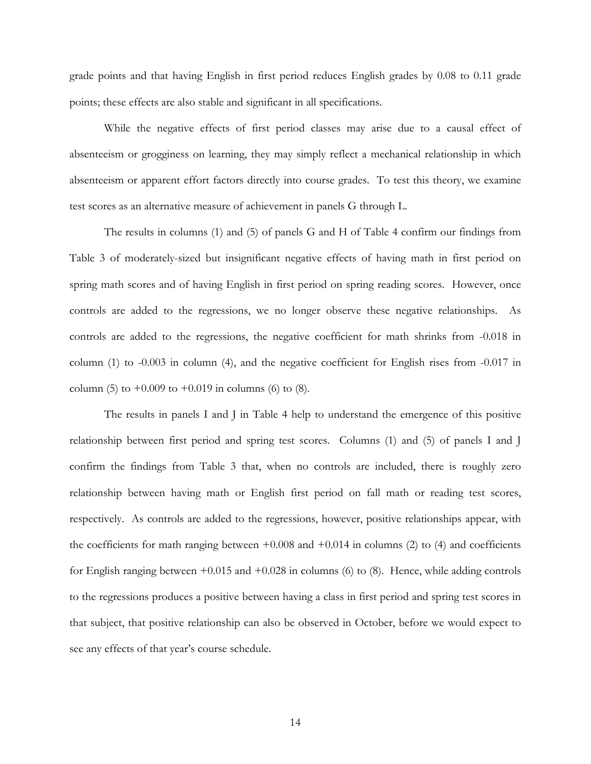grade points and that having English in first period reduces English grades by 0.08 to 0.11 grade points; these effects are also stable and significant in all specifications.

 While the negative effects of first period classes may arise due to a causal effect of absenteeism or grogginess on learning, they may simply reflect a mechanical relationship in which absenteeism or apparent effort factors directly into course grades. To test this theory, we examine test scores as an alternative measure of achievement in panels G through L.

The results in columns (1) and (5) of panels G and H of Table 4 confirm our findings from Table 3 of moderately-sized but insignificant negative effects of having math in first period on spring math scores and of having English in first period on spring reading scores. However, once controls are added to the regressions, we no longer observe these negative relationships. As controls are added to the regressions, the negative coefficient for math shrinks from -0.018 in column (1) to -0.003 in column (4), and the negative coefficient for English rises from -0.017 in column (5) to  $+0.009$  to  $+0.019$  in columns (6) to (8).

 The results in panels I and J in Table 4 help to understand the emergence of this positive relationship between first period and spring test scores. Columns (1) and (5) of panels I and J confirm the findings from Table 3 that, when no controls are included, there is roughly zero relationship between having math or English first period on fall math or reading test scores, respectively. As controls are added to the regressions, however, positive relationships appear, with the coefficients for math ranging between  $+0.008$  and  $+0.014$  in columns (2) to (4) and coefficients for English ranging between  $+0.015$  and  $+0.028$  in columns (6) to (8). Hence, while adding controls to the regressions produces a positive between having a class in first period and spring test scores in that subject, that positive relationship can also be observed in October, before we would expect to see any effects of that year's course schedule.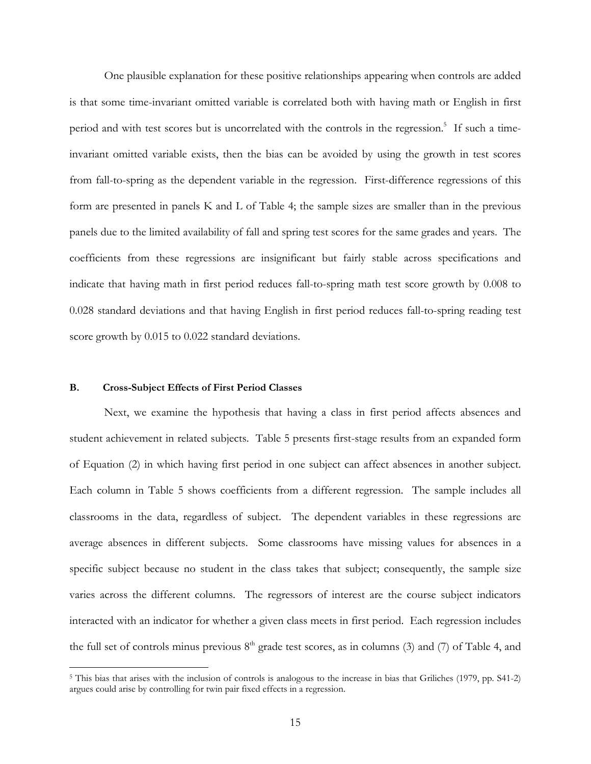One plausible explanation for these positive relationships appearing when controls are added is that some time-invariant omitted variable is correlated both with having math or English in first period and with test scores but is uncorrelated with the controls in the regression.<sup>5</sup> If such a timeinvariant omitted variable exists, then the bias can be avoided by using the growth in test scores from fall-to-spring as the dependent variable in the regression. First-difference regressions of this form are presented in panels K and L of Table 4; the sample sizes are smaller than in the previous panels due to the limited availability of fall and spring test scores for the same grades and years. The coefficients from these regressions are insignificant but fairly stable across specifications and indicate that having math in first period reduces fall-to-spring math test score growth by 0.008 to 0.028 standard deviations and that having English in first period reduces fall-to-spring reading test score growth by  $0.015$  to  $0.022$  standard deviations.

# **B. Cross-Subject Effects of First Period Classes**

1

Next, we examine the hypothesis that having a class in first period affects absences and student achievement in related subjects. Table 5 presents first-stage results from an expanded form of Equation (2) in which having first period in one subject can affect absences in another subject. Each column in Table 5 shows coefficients from a different regression. The sample includes all classrooms in the data, regardless of subject. The dependent variables in these regressions are average absences in different subjects. Some classrooms have missing values for absences in a specific subject because no student in the class takes that subject; consequently, the sample size varies across the different columns. The regressors of interest are the course subject indicators interacted with an indicator for whether a given class meets in first period. Each regression includes the full set of controls minus previous  $8<sup>th</sup>$  grade test scores, as in columns (3) and (7) of Table 4, and

<sup>5</sup> This bias that arises with the inclusion of controls is analogous to the increase in bias that Griliches (1979, pp. S41-2) argues could arise by controlling for twin pair fixed effects in a regression.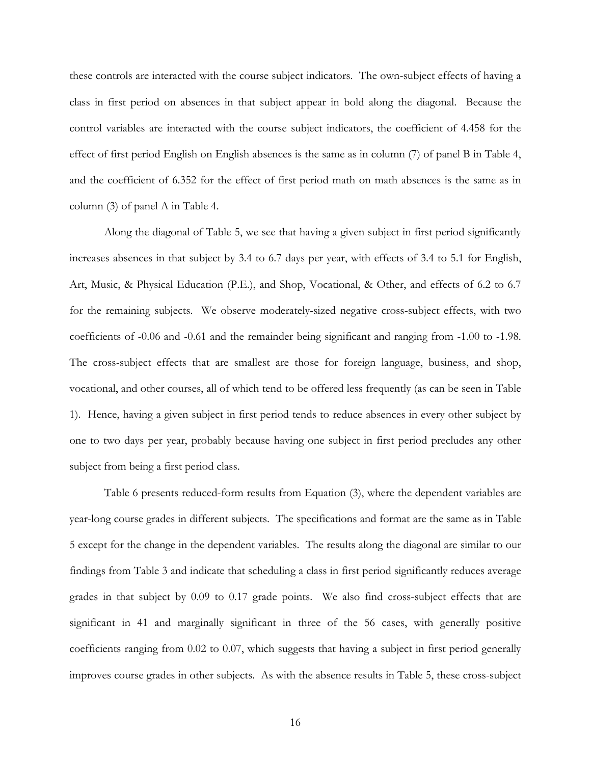these controls are interacted with the course subject indicators. The own-subject effects of having a class in first period on absences in that subject appear in bold along the diagonal. Because the control variables are interacted with the course subject indicators, the coefficient of 4.458 for the effect of first period English on English absences is the same as in column (7) of panel B in Table 4, and the coefficient of 6.352 for the effect of first period math on math absences is the same as in column (3) of panel A in Table 4.

Along the diagonal of Table 5, we see that having a given subject in first period significantly increases absences in that subject by 3.4 to 6.7 days per year, with effects of 3.4 to 5.1 for English, Art, Music, & Physical Education (P.E.), and Shop, Vocational, & Other, and effects of 6.2 to 6.7 for the remaining subjects. We observe moderately-sized negative cross-subject effects, with two coefficients of -0.06 and -0.61 and the remainder being significant and ranging from -1.00 to -1.98. The cross-subject effects that are smallest are those for foreign language, business, and shop, vocational, and other courses, all of which tend to be offered less frequently (as can be seen in Table 1). Hence, having a given subject in first period tends to reduce absences in every other subject by one to two days per year, probably because having one subject in first period precludes any other subject from being a first period class.

Table 6 presents reduced-form results from Equation (3), where the dependent variables are year-long course grades in different subjects. The specifications and format are the same as in Table 5 except for the change in the dependent variables. The results along the diagonal are similar to our findings from Table 3 and indicate that scheduling a class in first period significantly reduces average grades in that subject by 0.09 to 0.17 grade points. We also find cross-subject effects that are significant in 41 and marginally significant in three of the 56 cases, with generally positive coefficients ranging from 0.02 to 0.07, which suggests that having a subject in first period generally improves course grades in other subjects. As with the absence results in Table 5, these cross-subject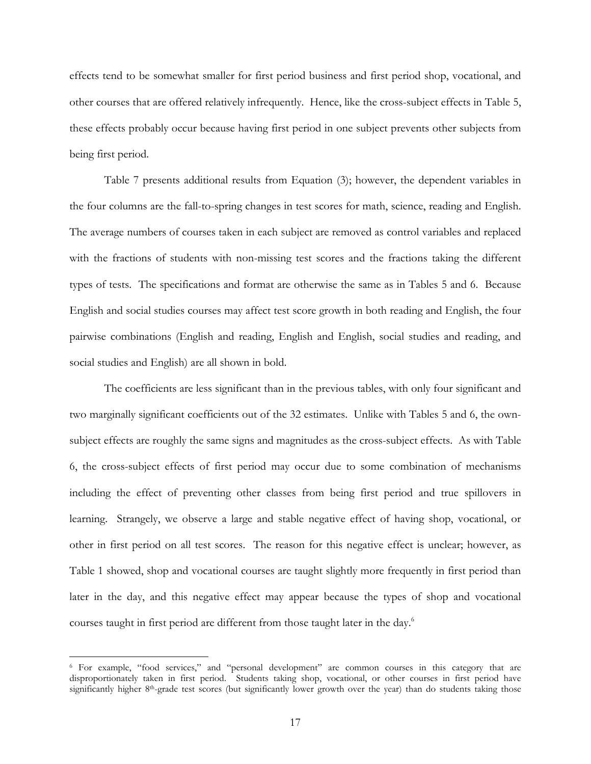effects tend to be somewhat smaller for first period business and first period shop, vocational, and other courses that are offered relatively infrequently. Hence, like the cross-subject effects in Table 5, these effects probably occur because having first period in one subject prevents other subjects from being first period.

Table 7 presents additional results from Equation (3); however, the dependent variables in the four columns are the fall-to-spring changes in test scores for math, science, reading and English. The average numbers of courses taken in each subject are removed as control variables and replaced with the fractions of students with non-missing test scores and the fractions taking the different types of tests. The specifications and format are otherwise the same as in Tables 5 and 6. Because English and social studies courses may affect test score growth in both reading and English, the four pairwise combinations (English and reading, English and English, social studies and reading, and social studies and English) are all shown in bold.

The coefficients are less significant than in the previous tables, with only four significant and two marginally significant coefficients out of the 32 estimates. Unlike with Tables 5 and 6, the ownsubject effects are roughly the same signs and magnitudes as the cross-subject effects. As with Table 6, the cross-subject effects of first period may occur due to some combination of mechanisms including the effect of preventing other classes from being first period and true spillovers in learning. Strangely, we observe a large and stable negative effect of having shop, vocational, or other in first period on all test scores. The reason for this negative effect is unclear; however, as Table 1 showed, shop and vocational courses are taught slightly more frequently in first period than later in the day, and this negative effect may appear because the types of shop and vocational courses taught in first period are different from those taught later in the day.<sup>6</sup>

1

<sup>6</sup> For example, "food services," and "personal development" are common courses in this category that are disproportionately taken in first period. Students taking shop, vocational, or other courses in first period have significantly higher 8<sup>th</sup>-grade test scores (but significantly lower growth over the year) than do students taking those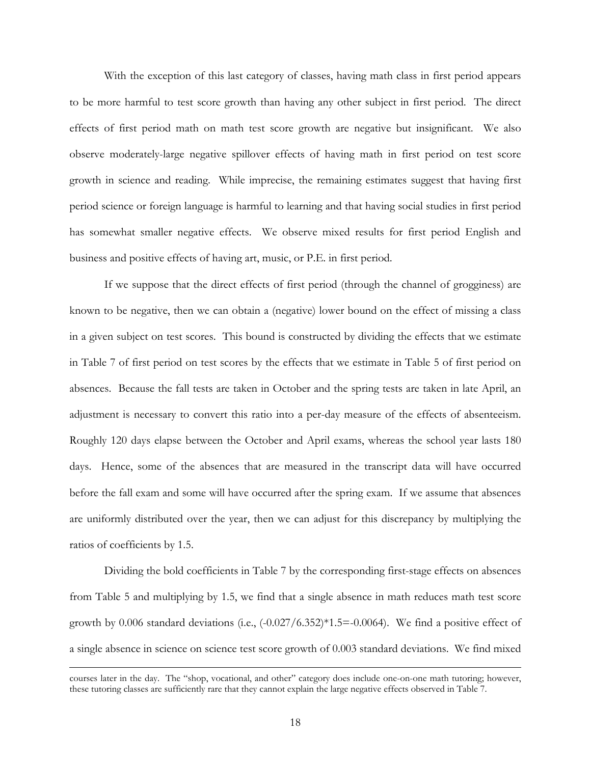With the exception of this last category of classes, having math class in first period appears to be more harmful to test score growth than having any other subject in first period. The direct effects of first period math on math test score growth are negative but insignificant. We also observe moderately-large negative spillover effects of having math in first period on test score growth in science and reading. While imprecise, the remaining estimates suggest that having first period science or foreign language is harmful to learning and that having social studies in first period has somewhat smaller negative effects. We observe mixed results for first period English and business and positive effects of having art, music, or P.E. in first period.

If we suppose that the direct effects of first period (through the channel of grogginess) are known to be negative, then we can obtain a (negative) lower bound on the effect of missing a class in a given subject on test scores. This bound is constructed by dividing the effects that we estimate in Table 7 of first period on test scores by the effects that we estimate in Table 5 of first period on absences. Because the fall tests are taken in October and the spring tests are taken in late April, an adjustment is necessary to convert this ratio into a per-day measure of the effects of absenteeism. Roughly 120 days elapse between the October and April exams, whereas the school year lasts 180 days. Hence, some of the absences that are measured in the transcript data will have occurred before the fall exam and some will have occurred after the spring exam. If we assume that absences are uniformly distributed over the year, then we can adjust for this discrepancy by multiplying the ratios of coefficients by 1.5.

Dividing the bold coefficients in Table 7 by the corresponding first-stage effects on absences from Table 5 and multiplying by 1.5, we find that a single absence in math reduces math test score growth by 0.006 standard deviations (i.e.,  $(-0.027/6.352)*1.5=-0.0064$ ). We find a positive effect of a single absence in science on science test score growth of 0.003 standard deviations. We find mixed

 $\overline{a}$ 

courses later in the day. The "shop, vocational, and other" category does include one-on-one math tutoring; however, these tutoring classes are sufficiently rare that they cannot explain the large negative effects observed in Table 7.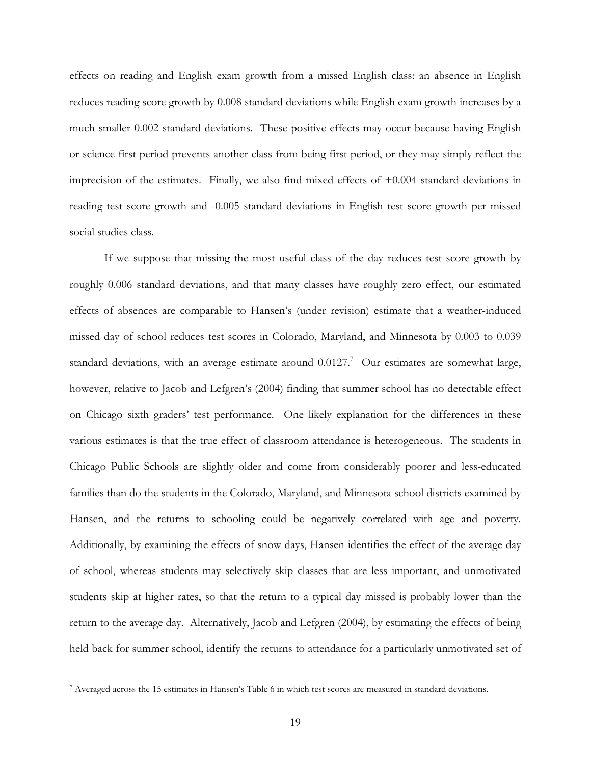effects on reading and English exam growth from a missed English class: an absence in English reduces reading score growth by 0.008 standard deviations while English exam growth increases by a much smaller 0.002 standard deviations. These positive effects may occur because having English or science first period prevents another class from being first period, or they may simply reflect the imprecision of the estimates. Finally, we also find mixed effects of +0.004 standard deviations in reading test score growth and -0.005 standard deviations in English test score growth per missed social studies class.

 If we suppose that missing the most useful class of the day reduces test score growth by roughly 0.006 standard deviations, and that many classes have roughly zero effect, our estimated effects of absences are comparable to Hansen's (under revision) estimate that a weather-induced missed day of school reduces test scores in Colorado, Maryland, and Minnesota by 0.003 to 0.039 standard deviations, with an average estimate around  $0.0127$ .<sup>7</sup> Our estimates are somewhat large, however, relative to Jacob and Lefgren's (2004) finding that summer school has no detectable effect on Chicago sixth graders' test performance. One likely explanation for the differences in these various estimates is that the true effect of classroom attendance is heterogeneous. The students in Chicago Public Schools are slightly older and come from considerably poorer and less-educated families than do the students in the Colorado, Maryland, and Minnesota school districts examined by Hansen, and the returns to schooling could be negatively correlated with age and poverty. Additionally, by examining the effects of snow days, Hansen identifies the effect of the average day of school, whereas students may selectively skip classes that are less important, and unmotivated students skip at higher rates, so that the return to a typical day missed is probably lower than the return to the average day. Alternatively, Jacob and Lefgren (2004), by estimating the effects of being held back for summer school, identify the returns to attendance for a particularly unmotivated set of

 $\overline{a}$ 

<sup>7</sup> Averaged across the 15 estimates in Hansen's Table 6 in which test scores are measured in standard deviations.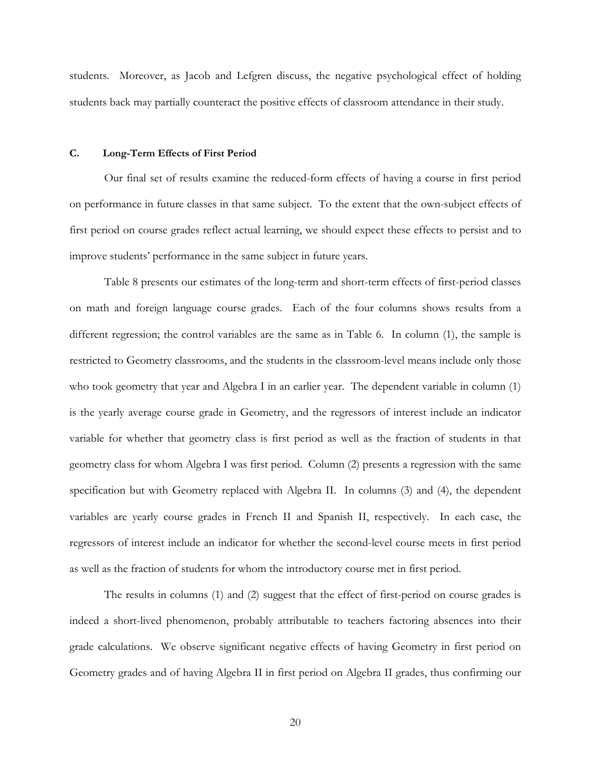students. Moreover, as Jacob and Lefgren discuss, the negative psychological effect of holding students back may partially counteract the positive effects of classroom attendance in their study.

# **C. Long-Term Effects of First Period**

Our final set of results examine the reduced-form effects of having a course in first period on performance in future classes in that same subject. To the extent that the own-subject effects of first period on course grades reflect actual learning, we should expect these effects to persist and to improve students' performance in the same subject in future years.

Table 8 presents our estimates of the long-term and short-term effects of first-period classes on math and foreign language course grades. Each of the four columns shows results from a different regression; the control variables are the same as in Table 6. In column (1), the sample is restricted to Geometry classrooms, and the students in the classroom-level means include only those who took geometry that year and Algebra I in an earlier year. The dependent variable in column (1) is the yearly average course grade in Geometry, and the regressors of interest include an indicator variable for whether that geometry class is first period as well as the fraction of students in that geometry class for whom Algebra I was first period. Column (2) presents a regression with the same specification but with Geometry replaced with Algebra II. In columns (3) and (4), the dependent variables are yearly course grades in French II and Spanish II, respectively. In each case, the regressors of interest include an indicator for whether the second-level course meets in first period as well as the fraction of students for whom the introductory course met in first period.

The results in columns (1) and (2) suggest that the effect of first-period on course grades is indeed a short-lived phenomenon, probably attributable to teachers factoring absences into their grade calculations. We observe significant negative effects of having Geometry in first period on Geometry grades and of having Algebra II in first period on Algebra II grades, thus confirming our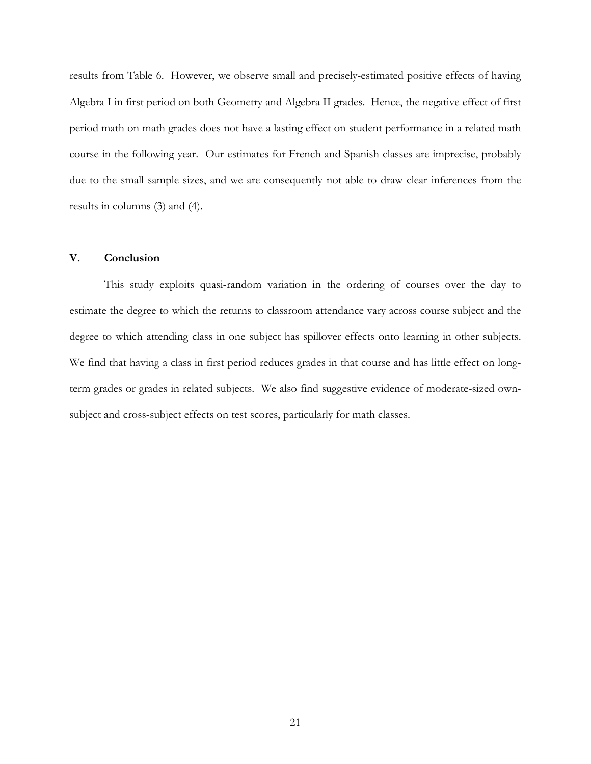results from Table 6. However, we observe small and precisely-estimated positive effects of having Algebra I in first period on both Geometry and Algebra II grades. Hence, the negative effect of first period math on math grades does not have a lasting effect on student performance in a related math course in the following year. Our estimates for French and Spanish classes are imprecise, probably due to the small sample sizes, and we are consequently not able to draw clear inferences from the results in columns (3) and (4).

## **V. Conclusion**

 This study exploits quasi-random variation in the ordering of courses over the day to estimate the degree to which the returns to classroom attendance vary across course subject and the degree to which attending class in one subject has spillover effects onto learning in other subjects. We find that having a class in first period reduces grades in that course and has little effect on longterm grades or grades in related subjects. We also find suggestive evidence of moderate-sized ownsubject and cross-subject effects on test scores, particularly for math classes.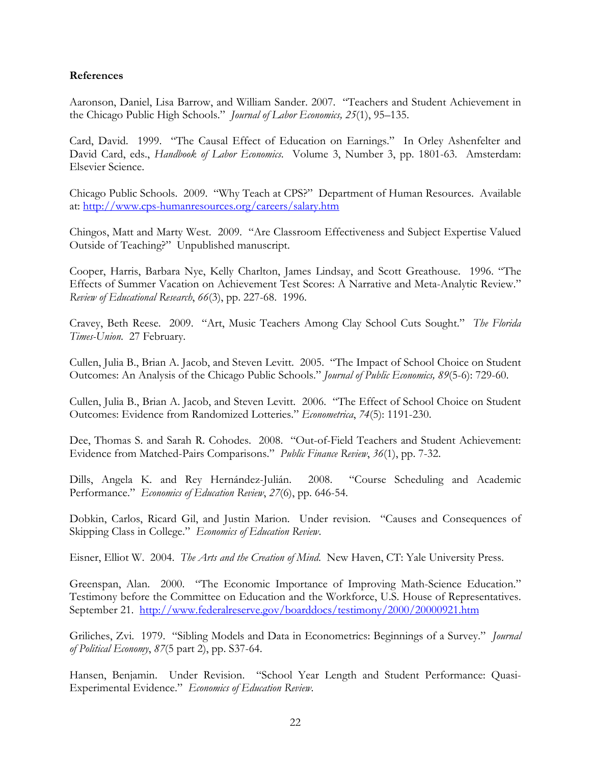# **References**

Aaronson, Daniel, Lisa Barrow, and William Sander. 2007. "Teachers and Student Achievement in the Chicago Public High Schools." *Journal of Labor Economics, 25*(1), 95–135.

Card, David. 1999. "The Causal Effect of Education on Earnings." In Orley Ashenfelter and David Card, eds., *Handbook of Labor Economics*. Volume 3, Number 3, pp. 1801-63. Amsterdam: Elsevier Science.

Chicago Public Schools. 2009. "Why Teach at CPS?" Department of Human Resources. Available at: http://www.cps-humanresources.org/careers/salary.htm

Chingos, Matt and Marty West. 2009. "Are Classroom Effectiveness and Subject Expertise Valued Outside of Teaching?" Unpublished manuscript.

Cooper, Harris, Barbara Nye, Kelly Charlton, James Lindsay, and Scott Greathouse. 1996. "The Effects of Summer Vacation on Achievement Test Scores: A Narrative and Meta-Analytic Review." *Review of Educational Research*, *66*(3), pp. 227-68. 1996.

Cravey, Beth Reese. 2009. "Art, Music Teachers Among Clay School Cuts Sought." *The Florida Times-Union*. 27 February.

Cullen, Julia B., Brian A. Jacob, and Steven Levitt. 2005. "The Impact of School Choice on Student Outcomes: An Analysis of the Chicago Public Schools." *Journal of Public Economics, 89*(5-6): 729-60.

Cullen, Julia B., Brian A. Jacob, and Steven Levitt. 2006. "The Effect of School Choice on Student Outcomes: Evidence from Randomized Lotteries." *Econometrica*, *74*(5): 1191-230.

Dee, Thomas S. and Sarah R. Cohodes. 2008. "Out-of-Field Teachers and Student Achievement: Evidence from Matched-Pairs Comparisons." *Public Finance Review*, *36*(1), pp. 7-32.

Dills, Angela K. and Rey Hernández-Julián. 2008. "Course Scheduling and Academic Performance." *Economics of Education Review*, *27*(6), pp. 646-54.

Dobkin, Carlos, Ricard Gil, and Justin Marion. Under revision. "Causes and Consequences of Skipping Class in College." *Economics of Education Review*.

Eisner, Elliot W. 2004. *The Arts and the Creation of Mind*. New Haven, CT: Yale University Press.

Greenspan, Alan. 2000. "The Economic Importance of Improving Math-Science Education." Testimony before the Committee on Education and the Workforce, U.S. House of Representatives. September 21. http://www.federalreserve.gov/boarddocs/testimony/2000/20000921.htm

Griliches, Zvi. 1979. "Sibling Models and Data in Econometrics: Beginnings of a Survey." *Journal of Political Economy*, *87*(5 part 2), pp. S37-64.

Hansen, Benjamin. Under Revision. "School Year Length and Student Performance: Quasi-Experimental Evidence." *Economics of Education Review*.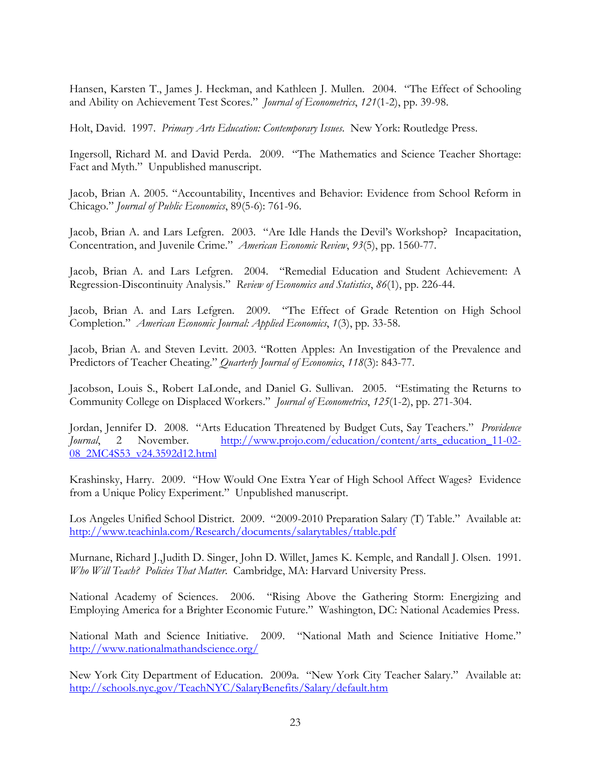Hansen, Karsten T., James J. Heckman, and Kathleen J. Mullen. 2004. "The Effect of Schooling and Ability on Achievement Test Scores." *Journal of Econometrics*, *121*(1-2), pp. 39-98.

Holt, David. 1997. *Primary Arts Education: Contemporary Issues*. New York: Routledge Press.

Ingersoll, Richard M. and David Perda. 2009. "The Mathematics and Science Teacher Shortage: Fact and Myth." Unpublished manuscript.

Jacob, Brian A. 2005. "Accountability, Incentives and Behavior: Evidence from School Reform in Chicago." *Journal of Public Economics*, 89(5-6): 761-96.

Jacob, Brian A. and Lars Lefgren. 2003. "Are Idle Hands the Devil's Workshop? Incapacitation, Concentration, and Juvenile Crime." *American Economic Review*, *93*(5), pp. 1560-77.

Jacob, Brian A. and Lars Lefgren. 2004. "Remedial Education and Student Achievement: A Regression-Discontinuity Analysis." *Review of Economics and Statistics*, *86*(1), pp. 226-44.

Jacob, Brian A. and Lars Lefgren. 2009. "The Effect of Grade Retention on High School Completion." *American Economic Journal: Applied Economics*, *1*(3), pp. 33-58.

Jacob, Brian A. and Steven Levitt. 2003. "Rotten Apples: An Investigation of the Prevalence and Predictors of Teacher Cheating." *Quarterly Journal of Economics*, *118*(3): 843-77.

Jacobson, Louis S., Robert LaLonde, and Daniel G. Sullivan. 2005. "Estimating the Returns to Community College on Displaced Workers." *Journal of Econometrics*, *125*(1-2), pp. 271-304.

Jordan, Jennifer D. 2008. "Arts Education Threatened by Budget Cuts, Say Teachers." *Providence Journal*, 2 November. http://www.projo.com/education/content/arts\_education\_11-02-08\_2MC4S53\_v24.3592d12.html

Krashinsky, Harry. 2009. "How Would One Extra Year of High School Affect Wages? Evidence from a Unique Policy Experiment." Unpublished manuscript.

Los Angeles Unified School District. 2009. "2009-2010 Preparation Salary (T) Table." Available at: http://www.teachinla.com/Research/documents/salarytables/ttable.pdf

Murnane, Richard J.,Judith D. Singer, John D. Willet, James K. Kemple, and Randall J. Olsen. 1991. *Who Will Teach? Policies That Matter*. Cambridge, MA: Harvard University Press.

National Academy of Sciences. 2006. "Rising Above the Gathering Storm: Energizing and Employing America for a Brighter Economic Future." Washington, DC: National Academies Press.

National Math and Science Initiative. 2009. "National Math and Science Initiative Home." http://www.nationalmathandscience.org/

New York City Department of Education. 2009a. "New York City Teacher Salary." Available at: http://schools.nyc.gov/TeachNYC/SalaryBenefits/Salary/default.htm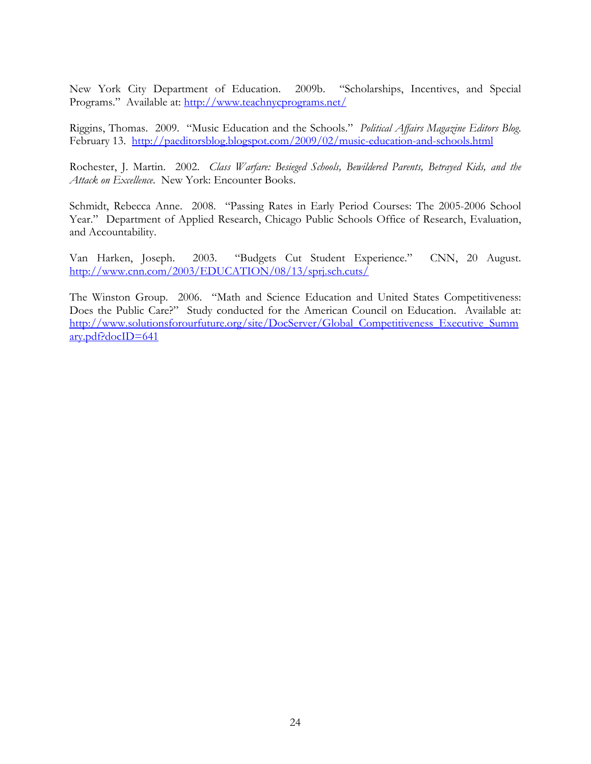New York City Department of Education. 2009b. "Scholarships, Incentives, and Special Programs." Available at: http://www.teachnycprograms.net/

Riggins, Thomas. 2009. "Music Education and the Schools." *Political Affairs Magazine Editors Blog*. February 13. http://paeditorsblog.blogspot.com/2009/02/music-education-and-schools.html

Rochester, J. Martin. 2002. *Class Warfare: Besieged Schools, Bewildered Parents, Betrayed Kids, and the Attack on Excellence*. New York: Encounter Books.

Schmidt, Rebecca Anne. 2008. "Passing Rates in Early Period Courses: The 2005-2006 School Year." Department of Applied Research, Chicago Public Schools Office of Research, Evaluation, and Accountability.

Van Harken, Joseph. 2003. "Budgets Cut Student Experience." CNN, 20 August. http://www.cnn.com/2003/EDUCATION/08/13/sprj.sch.cuts/

The Winston Group. 2006. "Math and Science Education and United States Competitiveness: Does the Public Care?" Study conducted for the American Council on Education. Available at: http://www.solutionsforourfuture.org/site/DocServer/Global\_Competitiveness\_Executive\_Summ ary.pdf?docID=641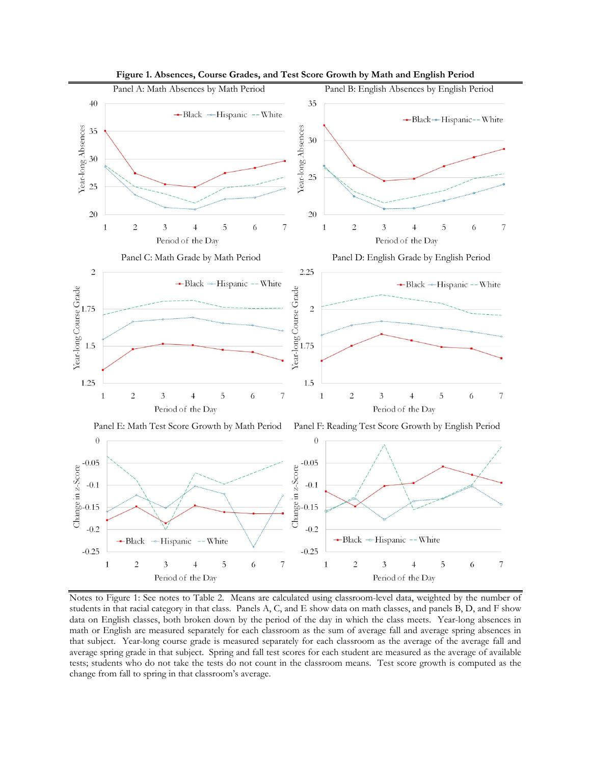

**Figure 1. Absences, Course Grades, and Test Score Growth by Math and English Period** 

Notes to Figure 1: See notes to Table 2. Means are calculated using classroom-level data, weighted by the number of students in that racial category in that class. Panels A, C, and E show data on math classes, and panels B, D, and F show data on English classes, both broken down by the period of the day in which the class meets. Year-long absences in math or English are measured separately for each classroom as the sum of average fall and average spring absences in that subject. Year-long course grade is measured separately for each classroom as the average of the average fall and average spring grade in that subject. Spring and fall test scores for each student are measured as the average of available tests; students who do not take the tests do not count in the classroom means. Test score growth is computed as the change from fall to spring in that classroom's average.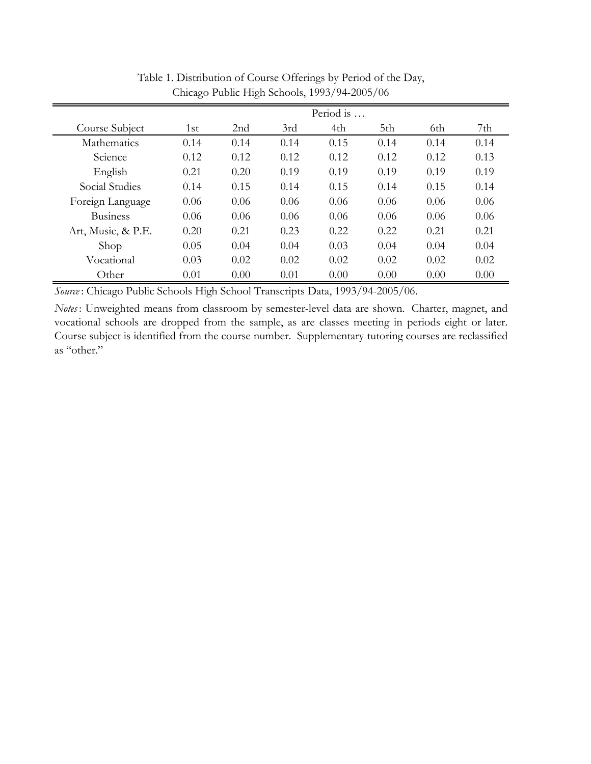|                    | Period is |                 |      |      |      |      |      |  |  |
|--------------------|-----------|-----------------|------|------|------|------|------|--|--|
| Course Subject     | 1st       | 2 <sub>nd</sub> | 3rd  | 4th  | 5th  | 6th  | 7th  |  |  |
| Mathematics        | 0.14      | 0.14            | 0.14 | 0.15 | 0.14 | 0.14 | 0.14 |  |  |
| Science            | 0.12      | 0.12            | 0.12 | 0.12 | 0.12 | 0.12 | 0.13 |  |  |
| English            | 0.21      | 0.20            | 0.19 | 0.19 | 0.19 | 0.19 | 0.19 |  |  |
| Social Studies     | 0.14      | 0.15            | 0.14 | 0.15 | 0.14 | 0.15 | 0.14 |  |  |
| Foreign Language   | 0.06      | 0.06            | 0.06 | 0.06 | 0.06 | 0.06 | 0.06 |  |  |
| <b>Business</b>    | 0.06      | 0.06            | 0.06 | 0.06 | 0.06 | 0.06 | 0.06 |  |  |
| Art, Music, & P.E. | 0.20      | 0.21            | 0.23 | 0.22 | 0.22 | 0.21 | 0.21 |  |  |
| Shop               | 0.05      | 0.04            | 0.04 | 0.03 | 0.04 | 0.04 | 0.04 |  |  |
| Vocational         | 0.03      | 0.02            | 0.02 | 0.02 | 0.02 | 0.02 | 0.02 |  |  |
| Other              | 0.01      | 0.00            | 0.01 | 0.00 | 0.00 | 0.00 | 0.00 |  |  |

Table 1. Distribution of Course Offerings by Period of the Day, Chicago Public High Schools, 1993/94-2005/06

*Source* : Chicago Public Schools High School Transcripts Data, 1993/94-2005/06.

*Notes* : Unweighted means from classroom by semester-level data are shown. Charter, magnet, and vocational schools are dropped from the sample, as are classes meeting in periods eight or later. Course subject is identified from the course number. Supplementary tutoring courses are reclassified as "other."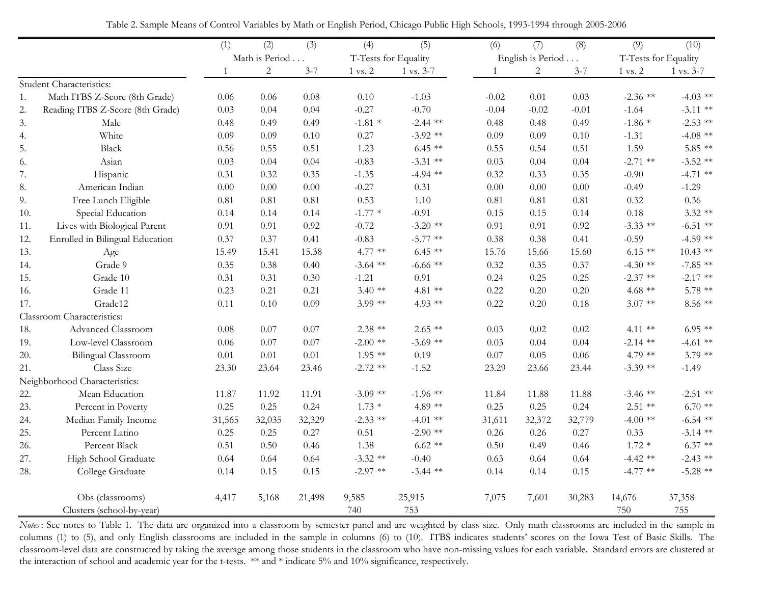|     |                                  | (1)      | (2)            | (3)     | (4)        | (5)                  | (6)     | (7)               | (8)      | (9)                  | (10)                   |
|-----|----------------------------------|----------|----------------|---------|------------|----------------------|---------|-------------------|----------|----------------------|------------------------|
|     |                                  |          | Math is Period |         |            | T-Tests for Equality |         | English is Period |          | T-Tests for Equality |                        |
|     |                                  | 1        | $\overline{c}$ | $3 - 7$ | 1 vs. 2    | 1 vs. 3-7            | -1      | 2                 | $3 - 7$  | 1 vs. 2              | $1 \text{ vs. } 3 - 7$ |
|     | Student Characteristics:         |          |                |         |            |                      |         |                   |          |                      |                        |
| 1.  | Math ITBS Z-Score (8th Grade)    | 0.06     | 0.06           | 0.08    | 0.10       | $-1.03$              | $-0.02$ | 0.01              | 0.03     | $-2.36$ **           | $-4.03$ **             |
| 2.  | Reading ITBS Z-Score (8th Grade) | 0.03     | 0.04           | 0.04    | $-0.27$    | $-0.70$              | $-0.04$ | $-0.02$           | $-0.01$  | $-1.64$              | $-3.11$ **             |
| 3.  | Male                             | 0.48     | 0.49           | 0.49    | $-1.81$ *  | $-2.44$ **           | 0.48    | 0.48              | 0.49     | $-1.86$ *            | $-2.53$ **             |
| 4.  | White                            | 0.09     | 0.09           | 0.10    | 0.27       | $-3.92$ **           | 0.09    | 0.09              | 0.10     | $-1.31$              | $-4.08$ **             |
| 5.  | Black                            | 0.56     | 0.55           | 0.51    | 1.23       | $6.45**$             | 0.55    | 0.54              | 0.51     | 1.59                 | $5.85$ **              |
| 6.  | Asian                            | 0.03     | 0.04           | 0.04    | $-0.83$    | $-3.31$ **           | 0.03    | 0.04              | 0.04     | $-2.71$ **           | $-3.52$ **             |
| 7.  | Hispanic                         | 0.31     | 0.32           | 0.35    | $-1.35$    | $-4.94$ **           | 0.32    | 0.33              | 0.35     | $-0.90$              | $-4.71$ **             |
| 8.  | American Indian                  | $0.00\,$ | 0.00           | 0.00    | $-0.27$    | 0.31                 | 0.00    | 0.00              | $0.00\,$ | $-0.49$              | $-1.29$                |
| 9.  | Free Lunch Eligible              | 0.81     | 0.81           | 0.81    | 0.53       | 1.10                 | 0.81    | 0.81              | 0.81     | 0.32                 | 0.36                   |
| 10. | Special Education                | 0.14     | 0.14           | 0.14    | $-1.77$ *  | $-0.91$              | 0.15    | 0.15              | 0.14     | 0.18                 | $3.32**$               |
| 11. | Lives with Biological Parent     | 0.91     | 0.91           | 0.92    | $-0.72$    | $-3.20$ **           | 0.91    | 0.91              | 0.92     | $-3.33$ **           | $-6.51$ **             |
| 12. | Enrolled in Bilingual Education  | 0.37     | 0.37           | 0.41    | $-0.83$    | $-5.77$ **           | 0.38    | 0.38              | 0.41     | $-0.59$              | $-4.59$ **             |
| 13. | Age                              | 15.49    | 15.41          | 15.38   | $4.77$ **  | $6.45**$             | 15.76   | 15.66             | 15.60    | $6.15**$             | $10.43$ **             |
| 14. | Grade 9                          | 0.35     | 0.38           | 0.40    | $-3.64$ ** | $-6.66$ **           | 0.32    | 0.35              | 0.37     | $-4.30$ **           | $-7.85$ **             |
| 15. | Grade 10                         | 0.31     | 0.31           | 0.30    | $-1.21$    | 0.91                 | 0.24    | 0.25              | 0.25     | $-2.37$ **           | $-2.17$ **             |
| 16. | Grade 11                         | 0.23     | 0.21           | 0.21    | $3.40**$   | 4.81 $**$            | 0.22    | 0.20              | 0.20     | 4.68 **              | $5.78$ **              |
| 17. | Grade12                          | 0.11     | 0.10           | 0.09    | $3.99**$   | 4.93 $**$            | 0.22    | 0.20              | $0.18\,$ | $3.07**$             | $8.56$ **              |
|     | Classroom Characteristics:       |          |                |         |            |                      |         |                   |          |                      |                        |
| 18. | Advanced Classroom               | $0.08\,$ | 0.07           | 0.07    | $2.38$ **  | $2.65$ **            | 0.03    | 0.02              | 0.02     | 4.11 **              | $6.95$ **              |
| 19. | Low-level Classroom              | 0.06     | 0.07           | 0.07    | $-2.00$ ** | $-3.69$ **           | 0.03    | 0.04              | 0.04     | $-2.14$ **           | $-4.61$ **             |
| 20. | <b>Bilingual Classroom</b>       | 0.01     | 0.01           | 0.01    | $1.95**$   | 0.19                 | 0.07    | 0.05              | 0.06     | 4.79 **              | $3.79**$               |
| 21. | Class Size                       | 23.30    | 23.64          | 23.46   | $-2.72$ ** | $-1.52$              | 23.29   | 23.66             | 23.44    | $-3.39$ **           | $-1.49$                |
|     | Neighborhood Characteristics:    |          |                |         |            |                      |         |                   |          |                      |                        |
| 22. | Mean Education                   | 11.87    | 11.92          | 11.91   | $-3.09$ ** | $-1.96$ **           | 11.84   | 11.88             | 11.88    | $-3.46$ **           | $-2.51$ **             |
| 23. | Percent in Poverty               | 0.25     | 0.25           | 0.24    | $1.73*$    | 4.89 $**$            | 0.25    | 0.25              | 0.24     | $2.51$ **            | $6.70**$               |
| 24. | Median Family Income             | 31,565   | 32,035         | 32,329  | $-2.33$ ** | $-4.01$ **           | 31,611  | 32,372            | 32,779   | $-4.00$ **           | $-6.54$ **             |
| 25. | Percent Latino                   | 0.25     | 0.25           | 0.27    | 0.51       | $-2.90$ **           | 0.26    | 0.26              | 0.27     | 0.33                 | $-3.14$ **             |
| 26. | Percent Black                    | 0.51     | 0.50           | 0.46    | 1.38       | $6.62**$             | 0.50    | 0.49              | 0.46     | $1.72 *$             | $6.37**$               |
| 27. | High School Graduate             | 0.64     | 0.64           | 0.64    | $-3.32$ ** | $-0.40$              | 0.63    | 0.64              | 0.64     | $-4.42$ **           | $-2.43$ **             |
| 28. | College Graduate                 | 0.14     | 0.15           | 0.15    | $-2.97$ ** | $-3.44$ **           | 0.14    | 0.14              | 0.15     | $-4.77$ **           | $-5.28$ **             |
|     | Obs (classrooms)                 | 4,417    | 5,168          | 21,498  | 9,585      | 25,915               | 7,075   | 7,601             | 30,283   | 14,676               | 37,358                 |
|     | Clusters (school-by-year)        |          |                |         | 740        | 753                  |         |                   |          | 750                  | 755                    |

Table 2. Sample Means of Control Variables by Math or English Period, Chicago Public High Schools, 1993-1994 through 2005-2006

*Notes* : See notes to Table 1. The data are organized into <sup>a</sup> classroom by semester panel and are weighted by class size. Only math classrooms are included in the sample in columns (1) to (5), and only English classrooms are included in the sample in columns (6) to (10). ITBS indicates students' scores on the Iowa Test of Basic Skills. The classroom-level data are constructed by taking the average among those students in the classroom who have non-missing values for each variable. Standard errors are clustered at the interaction of school and academic year for the t-tests. \*\* and \* indicate 5% and 10% significance, respectively.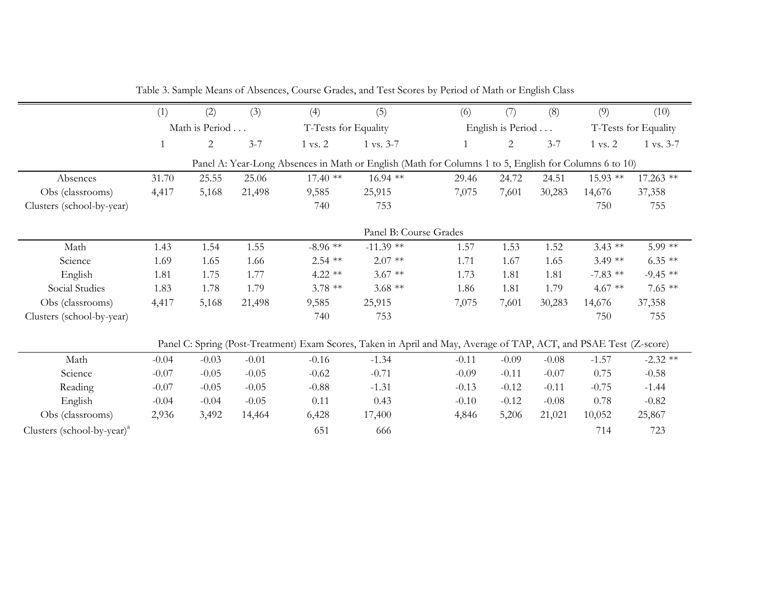|                                                     | (1)                                                                                                   | (2)            | (3)     | (4)                                                                                                                | (5)                    |  | (6)     | (7)               | (8)     | (9)        | (10)                   |  |
|-----------------------------------------------------|-------------------------------------------------------------------------------------------------------|----------------|---------|--------------------------------------------------------------------------------------------------------------------|------------------------|--|---------|-------------------|---------|------------|------------------------|--|
|                                                     |                                                                                                       | Math is Period |         | T-Tests for Equality                                                                                               |                        |  |         | English is Period |         |            | T-Tests for Equality   |  |
|                                                     |                                                                                                       | $\overline{c}$ | $3 - 7$ | 1 vs. 2                                                                                                            | $1 \text{ vs. } 3 - 7$ |  |         | $\mathbf{2}$      | $3 - 7$ | 1 vs. 2    | $1 \text{ vs. } 3 - 7$ |  |
|                                                     | Panel A: Year-Long Absences in Math or English (Math for Columns 1 to 5, English for Columns 6 to 10) |                |         |                                                                                                                    |                        |  |         |                   |         |            |                        |  |
| Absences                                            | 31.70                                                                                                 | 25.55          | 25.06   | $17.40**$                                                                                                          | $16.94$ **             |  | 29.46   | 24.72             | 24.51   | $15.93$ ** | $17.263$ **            |  |
| Obs (classrooms)                                    | 4,417                                                                                                 | 5,168          | 21,498  | 9,585                                                                                                              | 25,915                 |  | 7,075   | 7,601             | 30,283  | 14,676     | 37,358                 |  |
| Clusters (school-by-year)                           |                                                                                                       |                |         | 740                                                                                                                | 753                    |  |         |                   |         | 750        | 755                    |  |
|                                                     |                                                                                                       |                |         |                                                                                                                    | Panel B: Course Grades |  |         |                   |         |            |                        |  |
|                                                     |                                                                                                       |                |         |                                                                                                                    |                        |  |         |                   |         |            |                        |  |
| Math                                                | 1.43                                                                                                  | 1.54           | 1.55    | $-8.96$ **                                                                                                         | $-11.39$ **            |  | 1.57    | 1.53              | 1.52    | $3.43$ **  | $5.99**$               |  |
| Science                                             | 1.69                                                                                                  | 1.65           | 1.66    | $2.54$ **                                                                                                          | $2.07$ **              |  | 1.71    | 1.67              | 1.65    | $3.49**$   | $6.35**$               |  |
| English                                             | 1.81                                                                                                  | 1.75           | 1.77    | $4.22**$                                                                                                           | $3.67**$               |  | 1.73    | 1.81              | 1.81    | $-7.83$ ** | $-9.45**$              |  |
| Social Studies                                      | 1.83                                                                                                  | 1.78           | 1.79    | $3.78$ **                                                                                                          | $3.68$ **              |  | 1.86    | 1.81              | 1.79    | $4.67**$   | $7.65**$               |  |
| Obs (classrooms)                                    | 4,417                                                                                                 | 5,168          | 21,498  | 9,585                                                                                                              | 25,915                 |  | 7,075   | 7,601             | 30,283  | 14,676     | 37,358                 |  |
| Clusters (school-by-year)                           |                                                                                                       |                |         | 740                                                                                                                | 753                    |  |         |                   |         | 750        | 755                    |  |
|                                                     |                                                                                                       |                |         | Panel C: Spring (Post-Treatment) Exam Scores, Taken in April and May, Average of TAP, ACT, and PSAE Test (Z-score) |                        |  |         |                   |         |            |                        |  |
| Math                                                | $-0.04$                                                                                               | $-0.03$        | $-0.01$ | $-0.16$                                                                                                            | $-1.34$                |  | $-0.11$ | $-0.09$           | $-0.08$ | $-1.57$    | $-2.32$ **             |  |
| Science                                             | $-0.07$                                                                                               | $-0.05$        | $-0.05$ | $-0.62$                                                                                                            | $-0.71$                |  | $-0.09$ | $-0.11$           | $-0.07$ | 0.75       | $-0.58$                |  |
| Reading                                             | $-0.07$                                                                                               | $-0.05$        | $-0.05$ | $-0.88$                                                                                                            | $-1.31$                |  | $-0.13$ | $-0.12$           | $-0.11$ | $-0.75$    | $-1.44$                |  |
| English                                             | $-0.04$                                                                                               | $-0.04$        | $-0.05$ | 0.11                                                                                                               | 0.43                   |  | $-0.10$ | $-0.12$           | $-0.08$ | 0.78       | $-0.82$                |  |
| Obs (classrooms)                                    | 2,936                                                                                                 | 3,492          | 14,464  | 6,428                                                                                                              | 17,400                 |  | 4,846   | 5,206             | 21,021  | 10,052     | 25,867                 |  |
| Clusters (school-by-year) <sup><math>a</math></sup> |                                                                                                       |                |         | 651                                                                                                                | 666                    |  |         |                   |         | 714        | 723                    |  |

Table 3. Sample Means of Absences, Course Grades, and Test Scores by Period of Math or English Class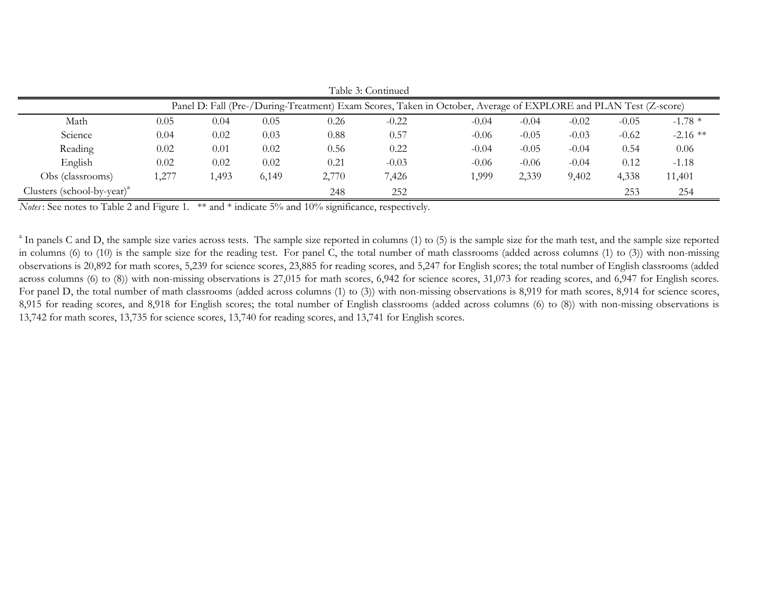| Table 3: Continued                                                                                              |       |      |       |       |         |         |         |         |         |            |  |
|-----------------------------------------------------------------------------------------------------------------|-------|------|-------|-------|---------|---------|---------|---------|---------|------------|--|
| Panel D: Fall (Pre-/During-Treatment) Exam Scores, Taken in October, Average of EXPLORE and PLAN Test (Z-score) |       |      |       |       |         |         |         |         |         |            |  |
| Math                                                                                                            | 0.05  | 0.04 | 0.05  | 0.26  | $-0.22$ | $-0.04$ | $-0.04$ | $-0.02$ | $-0.05$ | $-1.78*$   |  |
| Science                                                                                                         | 0.04  | 0.02 | 0.03  | 0.88  | 0.57    | $-0.06$ | $-0.05$ | $-0.03$ | $-0.62$ | $-2.16$ ** |  |
| Reading                                                                                                         | 0.02  | 0.01 | 0.02  | 0.56  | 0.22    | $-0.04$ | $-0.05$ | $-0.04$ | 0.54    | 0.06       |  |
| English                                                                                                         | 0.02  | 0.02 | 0.02  | 0.21  | $-0.03$ | $-0.06$ | $-0.06$ | $-0.04$ | 0.12    | $-1.18$    |  |
| Obs (classrooms)                                                                                                | 1,277 | .493 | 6,149 | 2,770 | 7,426   | 1,999   | 2,339   | 9,402   | 4,338   | 11,401     |  |
| Clusters (school-by-year) <sup><math>\alpha</math></sup>                                                        |       |      |       | 248   | 252     |         |         |         | 253     | 254        |  |

*Notes* : See notes to Table 2 and Figure 1. \*\* and \* indicate 5% and 10% significance, respectively.

 $^{\text{a}}$  In panels C and D, the sample size varies across tests. The sample size reported in columns (1) to (5) is the sample size for the math test, and the sample size reported in columns (6) to (10) is the sample size for the reading test. For panel C, the total number of math classrooms (added across columns (1) to (3)) with non-missing observations is 20,892 for math scores, 5,239 for science scores, 23,885 for reading scores, and 5,247 for English scores; the total number of English classrooms (added across columns (6) to (8)) with non-missing observations is 27,015 for math scores, 6,942 for science scores, 31,073 for reading scores, and 6,947 for English scores. For panel D, the total number of math classrooms (added across columns (1) to (3)) with non-missing observations is 8,919 for math scores, 8,914 for science scores, 8,915 for reading scores, and 8,918 for English scores; the total number of English classrooms (added across columns (6) to (8)) with non-missing observations is 13,742 for math scores, 13,735 for science scores, 13,740 for reading scores, and 13,741 for English scores.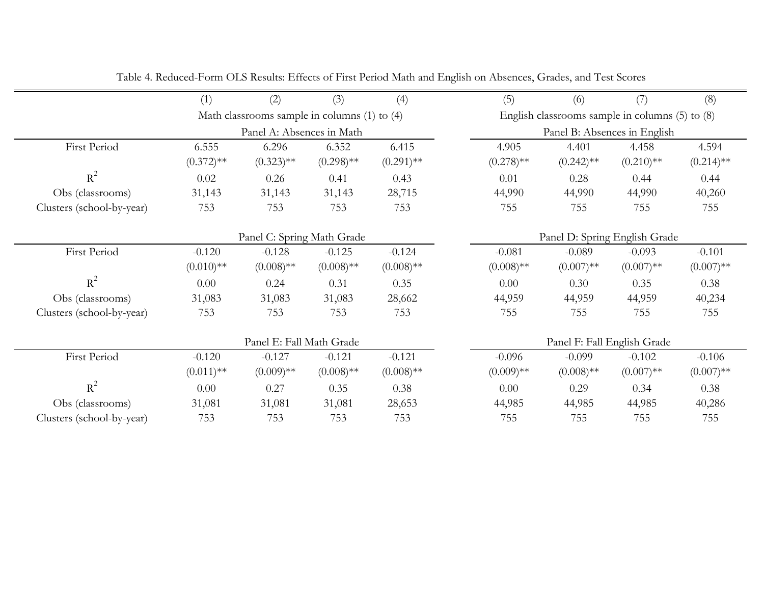|                           | (1)                   | (2)                                          | (3)                   | (4)                   | (5)                                             | (6)                   | (7)                   | (8)                   |  |
|---------------------------|-----------------------|----------------------------------------------|-----------------------|-----------------------|-------------------------------------------------|-----------------------|-----------------------|-----------------------|--|
|                           |                       | Math classrooms sample in columns (1) to (4) |                       |                       | English classrooms sample in columns (5) to (8) |                       |                       |                       |  |
|                           |                       | Panel A: Absences in Math                    |                       |                       | Panel B: Absences in English                    |                       |                       |                       |  |
| First Period              | 6.555<br>$(0.372)$ ** | 6.296<br>$(0.323)$ **                        | 6.352<br>$(0.298)$ ** | 6.415<br>$(0.291)$ ** | 4.905<br>$(0.278)$ **                           | 4.401<br>$(0.242)$ ** | 4.458<br>$(0.210)$ ** | 4.594<br>$(0.214)$ ** |  |
| $R^2$                     | 0.02                  | 0.26                                         | 0.41                  | 0.43                  | 0.01                                            | 0.28                  | 0.44                  | 0.44                  |  |
| Obs (classrooms)          | 31,143                | 31,143                                       | 31,143                | 28,715                | 44,990                                          | 44,990                | 44,990                | 40,260                |  |
| Clusters (school-by-year) | 753                   | 753                                          | 753                   | 753                   | 755                                             | 755                   | 755                   | 755                   |  |
|                           |                       | Panel D: Spring English Grade                |                       |                       |                                                 |                       |                       |                       |  |
| First Period              | $-0.120$              | $-0.128$                                     | $-0.125$              | $-0.124$              | $-0.081$                                        | $-0.089$              | $-0.093$              | $-0.101$              |  |
|                           | $(0.010)$ **          | $(0.008)$ **                                 | $(0.008)$ **          | $(0.008)$ **          | $(0.008)$ **                                    | $(0.007)$ **          | $(0.007)$ **          | $(0.007)$ **          |  |
| $R^2$                     | 0.00                  | 0.24                                         | 0.31                  | 0.35                  | 0.00                                            | 0.30                  | 0.35                  | 0.38                  |  |
| Obs (classrooms)          | 31,083                | 31,083                                       | 31,083                | 28,662                | 44,959                                          | 44,959                | 44,959                | 40,234                |  |
| Clusters (school-by-year) | 753                   | 753                                          | 753                   | 753                   | 755                                             | 755                   | 755                   | 755                   |  |
|                           |                       | Panel E: Fall Math Grade                     |                       |                       | Panel F: Fall English Grade                     |                       |                       |                       |  |
| First Period              | $-0.120$              | $-0.127$                                     | $-0.121$              | $-0.121$              | $-0.096$                                        | $-0.099$              | $-0.102$              | $-0.106$              |  |
|                           | $(0.011)$ **          | $(0.009)$ **                                 | $(0.008)$ **          | $(0.008)$ **          | $(0.009)$ **                                    | $(0.008)$ **          | $(0.007)$ **          | $(0.007)$ **          |  |
| $R^2$                     | 0.00                  | 0.27                                         | 0.35                  | 0.38                  | $0.00\,$                                        | 0.29                  | 0.34                  | 0.38                  |  |
| Obs (classrooms)          | 31,081                | 31,081                                       | 31,081                | 28,653                | 44,985                                          | 44,985                | 44,985                | 40,286                |  |
| Clusters (school-by-year) | 753                   | 753                                          | 753                   | 753                   | 755                                             | 755                   | 755                   | 755                   |  |

Table 4. Reduced-Form OLS Results: Effects of First Period Math and English on Absences, Grades, and Test Scores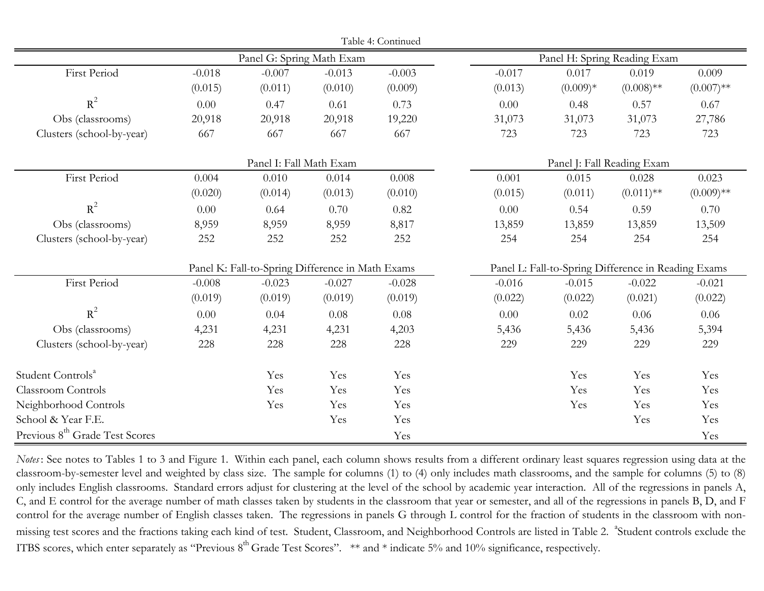|                                            |                            |                                                  |          | Table 4: Continued |          |                                                     |                              |              |  |  |
|--------------------------------------------|----------------------------|--------------------------------------------------|----------|--------------------|----------|-----------------------------------------------------|------------------------------|--------------|--|--|
|                                            |                            | Panel G: Spring Math Exam                        |          |                    |          |                                                     | Panel H: Spring Reading Exam |              |  |  |
| <b>First Period</b>                        | $-0.018$                   | $-0.007$                                         | $-0.013$ | $-0.003$           | $-0.017$ | 0.017                                               | 0.019                        | 0.009        |  |  |
|                                            | (0.015)                    | (0.011)                                          | (0.010)  | (0.009)            | (0.013)  | $(0.009)*$                                          | $(0.008)$ **                 | $(0.007)$ ** |  |  |
| $R^2$                                      | 0.00                       | 0.47                                             | 0.61     | 0.73               | 0.00     | 0.48                                                | 0.57                         | 0.67         |  |  |
| Obs (classrooms)                           | 20,918                     | 20,918                                           | 20,918   | 19,220             | 31,073   | 31,073                                              | 31,073                       | 27,786       |  |  |
| Clusters (school-by-year)                  | 667                        | 667                                              | 667      | 667                | 723      | 723                                                 | 723                          | 723          |  |  |
|                                            | Panel J: Fall Reading Exam |                                                  |          |                    |          |                                                     |                              |              |  |  |
| First Period                               | 0.004                      | 0.010                                            | 0.014    | 0.008              | 0.001    | 0.015                                               | 0.028                        | 0.023        |  |  |
|                                            | (0.020)                    | (0.014)                                          | (0.013)  | (0.010)            | (0.015)  | (0.011)                                             | $(0.011)$ **                 | $(0.009)$ ** |  |  |
| $R^2$                                      | 0.00                       | 0.64                                             | 0.70     | 0.82               | 0.00     | 0.54                                                | 0.59                         | 0.70         |  |  |
| Obs (classrooms)                           | 8,959                      | 8,959                                            | 8,959    | 8,817              | 13,859   | 13,859                                              | 13,859                       | 13,509       |  |  |
| Clusters (school-by-year)                  | 252                        | 252                                              | 252      | 252                | 254      | 254                                                 | 254                          | 254          |  |  |
|                                            |                            | Panel K: Fall-to-Spring Difference in Math Exams |          |                    |          | Panel L: Fall-to-Spring Difference in Reading Exams |                              |              |  |  |
| First Period                               | $-0.008$                   | $-0.023$                                         | $-0.027$ | $-0.028$           | $-0.016$ | $-0.015$                                            | $-0.022$                     | $-0.021$     |  |  |
|                                            | (0.019)                    | (0.019)                                          | (0.019)  | (0.019)            | (0.022)  | (0.022)                                             | (0.021)                      | (0.022)      |  |  |
| $R^2$                                      | 0.00                       | 0.04                                             | 0.08     | 0.08               | 0.00     | 0.02                                                | 0.06                         | 0.06         |  |  |
| Obs (classrooms)                           | 4,231                      | 4,231                                            | 4,231    | 4,203              | 5,436    | 5,436                                               | 5,436                        | 5,394        |  |  |
| Clusters (school-by-year)                  | 228                        | 228                                              | 228      | 228                | 229      | 229                                                 | 229                          | 229          |  |  |
| Student Controls <sup>a</sup>              |                            | Yes                                              | Yes      | Yes                |          | Yes                                                 | Yes                          | Yes          |  |  |
| <b>Classroom Controls</b>                  |                            | Yes                                              | Yes      | Yes                |          | Yes                                                 | Yes                          | Yes          |  |  |
| Neighborhood Controls                      |                            | Yes                                              | Yes      | Yes                |          | Yes                                                 | Yes                          | Yes          |  |  |
| School & Year F.E.                         |                            |                                                  | Yes      | Yes                |          |                                                     | Yes                          | Yes          |  |  |
| Previous 8 <sup>th</sup> Grade Test Scores |                            |                                                  |          | Yes                |          |                                                     |                              | Yes          |  |  |

*Notes* : See notes to Tables <sup>1</sup> to 3 and Figure 1. Within each panel, each column shows results from <sup>a</sup> different ordinary least squares regression using data at the classroom-by-semester level and weighted by class size. The sample for columns (1) to (4) only includes math classrooms, and the sample for columns (5) to (8) only includes English classrooms. Standard errors adjust for clustering at the level of the school by academic year interaction. All of the regressions in panels A, C, and <sup>E</sup> control for the average number of math classes taken by students in the classroom that year or semester, and all of the regressions in panels B, D, and <sup>F</sup> control for the average number of English classes taken. The regressions in panels G through L control for the fraction of students in the classroom with nonmissing test scores and the fractions taking each kind of test. Student, Classroom, and Neighborhood Controls are listed in Table 2. <sup>a</sup>Student controls exclude the ITBS scores, which enter separately as "Previous  $8^{th}$  Grade Test Scores". \*\* and \* indicate 5% and 10% significance, respectively.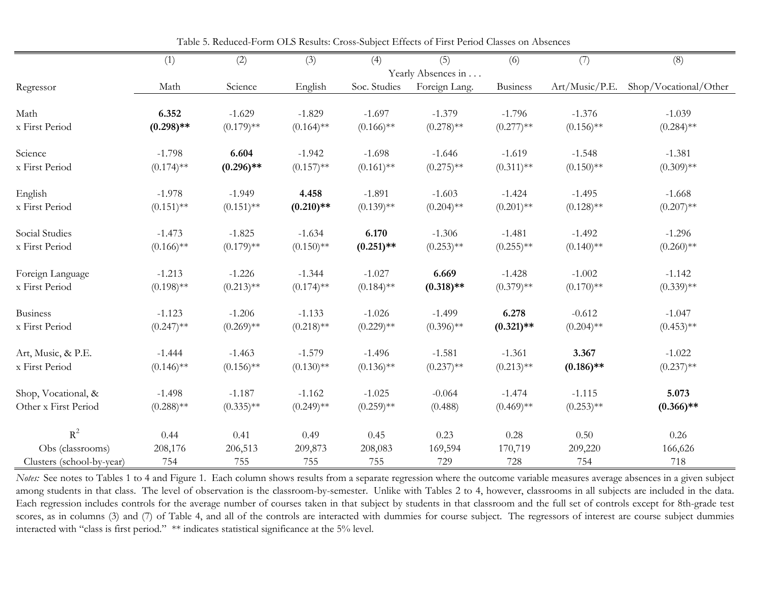|                           | (1)          | (2)          | (3)          | (4)          | (5)                | (6)             | (7)            | (8)                   |
|---------------------------|--------------|--------------|--------------|--------------|--------------------|-----------------|----------------|-----------------------|
|                           |              |              |              |              | Yearly Absences in |                 |                |                       |
| Regressor                 | Math         | Science      | English      | Soc. Studies | Foreign Lang.      | <b>Business</b> | Art/Music/P.E. | Shop/Vocational/Other |
| Math                      | 6.352        | $-1.629$     | $-1.829$     | $-1.697$     | $-1.379$           | $-1.796$        | $-1.376$       | $-1.039$              |
| x First Period            | $(0.298)$ ** | $(0.179)$ ** | $(0.164)$ ** | $(0.166)$ ** | $(0.278)$ **       | $(0.277)$ **    | $(0.156)$ **   | $(0.284)$ **          |
| Science                   | $-1.798$     | 6.604        | $-1.942$     | $-1.698$     | $-1.646$           | $-1.619$        | $-1.548$       | $-1.381$              |
| x First Period            | $(0.174)$ ** | $(0.296)$ ** | $(0.157)$ ** | $(0.161)$ ** | $(0.275)$ **       | $(0.311)$ **    | $(0.150)$ **   | $(0.309)$ **          |
| English                   | $-1.978$     | $-1.949$     | 4.458        | $-1.891$     | $-1.603$           | $-1.424$        | $-1.495$       | $-1.668$              |
| x First Period            | $(0.151)$ ** | $(0.151)$ ** | $(0.210)$ ** | $(0.139)$ ** | $(0.204)$ **       | $(0.201)$ **    | $(0.128)$ **   | $(0.207)$ **          |
| Social Studies            | $-1.473$     | $-1.825$     | $-1.634$     | 6.170        | $-1.306$           | $-1.481$        | $-1.492$       | $-1.296$              |
| x First Period            | $(0.166)$ ** | $(0.179)$ ** | $(0.150)$ ** | $(0.251)$ ** | $(0.253)$ **       | $(0.255)$ **    | $(0.140)$ **   | $(0.260)$ **          |
| Foreign Language          | $-1.213$     | $-1.226$     | $-1.344$     | $-1.027$     | 6.669              | $-1.428$        | $-1.002$       | $-1.142$              |
| x First Period            | $(0.198)$ ** | $(0.213)$ ** | $(0.174)$ ** | $(0.184)$ ** | $(0.318)$ **       | $(0.379)$ **    | $(0.170)$ **   | $(0.339)$ **          |
| <b>Business</b>           | $-1.123$     | $-1.206$     | $-1.133$     | $-1.026$     | $-1.499$           | 6.278           | $-0.612$       | $-1.047$              |
| x First Period            | $(0.247)$ ** | $(0.269)$ ** | $(0.218)$ ** | $(0.229)$ ** | $(0.396)$ **       | $(0.321)$ **    | $(0.204)$ **   | $(0.453)$ **          |
| Art, Music, & P.E.        | $-1.444$     | $-1.463$     | $-1.579$     | $-1.496$     | $-1.581$           | $-1.361$        | 3.367          | $-1.022$              |
| x First Period            | $(0.146)$ ** | $(0.156)$ ** | $(0.130)$ ** | $(0.136)$ ** | $(0.237)$ **       | $(0.213)$ **    | $(0.186)$ **   | $(0.237)$ **          |
| Shop, Vocational, &       | $-1.498$     | $-1.187$     | $-1.162$     | $-1.025$     | $-0.064$           | $-1.474$        | $-1.115$       | 5.073                 |
| Other x First Period      | $(0.288)$ ** | $(0.335)$ ** | $(0.249)$ ** | $(0.259)$ ** | (0.488)            | $(0.469)$ **    | $(0.253)$ **   | $(0.366)$ **          |
| $\mbox{R}^2$              | 0.44         | 0.41         | 0.49         | 0.45         | 0.23               | 0.28            | 0.50           | 0.26                  |
| Obs (classrooms)          | 208,176      | 206,513      | 209,873      | 208,083      | 169,594            | 170,719         | 209,220        | 166,626               |
| Clusters (school-by-year) | 754          | 755          | 755          | 755          | 729                | 728             | 754            | 718                   |

Table 5. Reduced-Form OLS Results: Cross-Subject Effects of First Period Classes on Absences

*Notes*: See notes to Tables 1 to 4 and Figure 1. Each column shows results from a separate regression where the outcome variable measures average absences in a given subject among students in that class. The level of observation is the classroom-by-semester. Unlike with Tables <sup>2</sup> to 4, however, classrooms in all subjects are included in the data. Each regression includes controls for the average number of courses taken in that subject by students in that classroom and the full set of controls except for 8th-grade test scores, as in columns (3) and (7) of Table 4, and all of the controls are interacted with dummies for course subject. The regressors of interest are course subject dummies interacted with "class is first period." \*\* indicates statistical significance at the 5% level.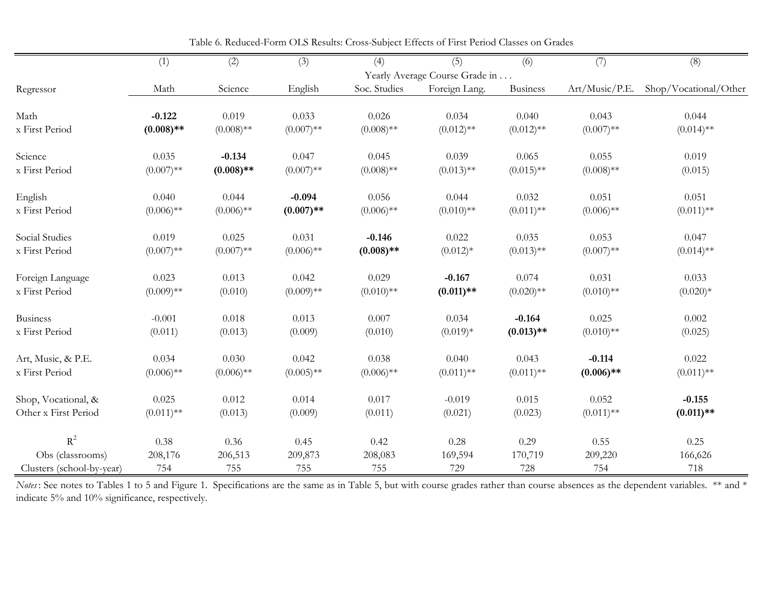|                           | (1)          | (2)          | (3)          | (4)          | (5)                            | (6)             | (7)            | (8)                   |
|---------------------------|--------------|--------------|--------------|--------------|--------------------------------|-----------------|----------------|-----------------------|
|                           |              |              |              |              | Yearly Average Course Grade in |                 |                |                       |
| Regressor                 | Math         | Science      | English      | Soc. Studies | Foreign Lang.                  | <b>Business</b> | Art/Music/P.E. | Shop/Vocational/Other |
| Math                      | $-0.122$     | 0.019        | 0.033        | 0.026        | 0.034                          | 0.040           | 0.043          | 0.044                 |
| x First Period            | $(0.008)$ ** | $(0.008)$ ** | $(0.007)$ ** | $(0.008)$ ** | $(0.012)$ **                   | $(0.012)$ **    | $(0.007)$ **   | $(0.014)$ **          |
| Science                   | 0.035        | $-0.134$     | 0.047        | 0.045        | 0.039                          | 0.065           | 0.055          | 0.019                 |
| x First Period            | $(0.007)$ ** | $(0.008)$ ** | $(0.007)$ ** | $(0.008)$ ** | $(0.013)$ **                   | $(0.015)$ **    | $(0.008)$ **   | (0.015)               |
| English                   | 0.040        | 0.044        | $-0.094$     | 0.056        | 0.044                          | 0.032           | 0.051          | 0.051                 |
| x First Period            | $(0.006)$ ** | $(0.006)$ ** | $(0.007)$ ** | $(0.006)$ ** | $(0.010)$ **                   | $(0.011)$ **    | $(0.006)$ **   | $(0.011)$ **          |
| Social Studies            | 0.019        | 0.025        | 0.031        | $-0.146$     | 0.022                          | 0.035           | 0.053          | 0.047                 |
| x First Period            | $(0.007)$ ** | $(0.007)$ ** | $(0.006)$ ** | $(0.008)$ ** | $(0.012)*$                     | $(0.013)$ **    | $(0.007)$ **   | $(0.014)$ **          |
| Foreign Language          | 0.023        | 0.013        | 0.042        | 0.029        | $-0.167$                       | 0.074           | 0.031          | 0.033                 |
| x First Period            | $(0.009)$ ** | (0.010)      | $(0.009)$ ** | $(0.010)$ ** | $(0.011)$ **                   | $(0.020)$ **    | $(0.010)$ **   | $(0.020)*$            |
| <b>Business</b>           | $-0.001$     | 0.018        | 0.013        | 0.007        | 0.034                          | $-0.164$        | 0.025          | 0.002                 |
| x First Period            | (0.011)      | (0.013)      | (0.009)      | (0.010)      | $(0.019)*$                     | $(0.013)$ **    | $(0.010)$ **   | (0.025)               |
| Art, Music, & P.E.        | 0.034        | 0.030        | 0.042        | 0.038        | 0.040                          | 0.043           | $-0.114$       | 0.022                 |
| x First Period            | $(0.006)$ ** | $(0.006)$ ** | $(0.005)$ ** | $(0.006)$ ** | $(0.011)$ **                   | $(0.011)$ **    | $(0.006)$ **   | $(0.011)$ **          |
| Shop, Vocational, &       | 0.025        | 0.012        | 0.014        | 0.017        | $-0.019$                       | 0.015           | 0.052          | $-0.155$              |
| Other x First Period      | $(0.011)$ ** | (0.013)      | (0.009)      | (0.011)      | (0.021)                        | (0.023)         | $(0.011)$ **   | $(0.011)$ **          |
| $R^2$                     | 0.38         | 0.36         | 0.45         | 0.42         | 0.28                           | 0.29            | 0.55           | 0.25                  |
| Obs (classrooms)          | 208,176      | 206,513      | 209,873      | 208,083      | 169,594                        | 170,719         | 209,220        | 166,626               |
| Clusters (school-by-year) | 754          | 755          | 755          | 755          | 729                            | 728             | 754            | 718                   |

Table 6. Reduced-Form OLS Results: Cross-Subject Effects of First Period Classes on Grades

*Notes*: See notes to Tables 1 to 5 and Figure 1. Specifications are the same as in Table 5, but with course grades rather than course absences as the dependent variables. \*\* and \* indicate 5% and 10% significance, respectively.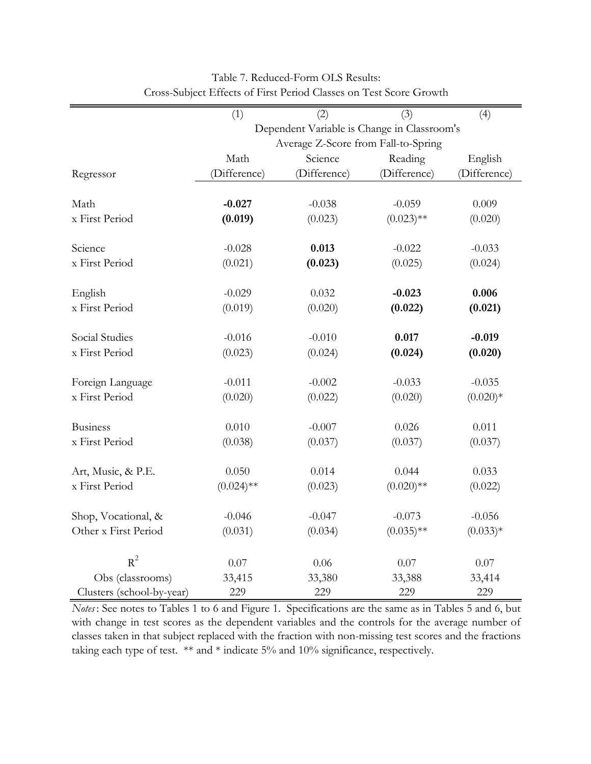|                           | (1)          | (2)                                         | (3)                      | (4)          |
|---------------------------|--------------|---------------------------------------------|--------------------------|--------------|
|                           |              | Dependent Variable is Change in Classroom's |                          |              |
|                           |              | Average Z-Score from Fall-to-Spring         |                          |              |
|                           | Math         | Science                                     | Reading                  | English      |
| Regressor                 | (Difference) | (Difference)                                | (Difference)             | (Difference) |
|                           |              |                                             |                          |              |
| Math<br>x First Period    | $-0.027$     | $-0.038$                                    | $-0.059$<br>$(0.023)$ ** | 0.009        |
|                           | (0.019)      | (0.023)                                     |                          | (0.020)      |
| Science                   | $-0.028$     | 0.013                                       | $-0.022$                 | $-0.033$     |
| x First Period            | (0.021)      | (0.023)                                     | (0.025)                  | (0.024)      |
| English                   | $-0.029$     | 0.032                                       | $-0.023$                 | 0.006        |
| x First Period            | (0.019)      | (0.020)                                     | (0.022)                  | (0.021)      |
| Social Studies            | $-0.016$     | $-0.010$                                    | 0.017                    | $-0.019$     |
| x First Period            | (0.023)      | (0.024)                                     | (0.024)                  | (0.020)      |
| Foreign Language          | $-0.011$     | $-0.002$                                    | $-0.033$                 | $-0.035$     |
| x First Period            | (0.020)      | (0.022)                                     | (0.020)                  | $(0.020)*$   |
| <b>Business</b>           | 0.010        | $-0.007$                                    | 0.026                    | 0.011        |
| x First Period            | (0.038)      | (0.037)                                     | (0.037)                  | (0.037)      |
| Art, Music, & P.E.        | 0.050        | 0.014                                       | 0.044                    | 0.033        |
| x First Period            | $(0.024)$ ** | (0.023)                                     | $(0.020)$ **             | (0.022)      |
| Shop, Vocational, &       | $-0.046$     | $-0.047$                                    | $-0.073$                 | $-0.056$     |
| Other x First Period      | (0.031)      | (0.034)                                     | $(0.035)$ **             | $(0.033)*$   |
| $R^2$                     | 0.07         | 0.06                                        | 0.07                     | 0.07         |
| Obs (classrooms)          | 33,415       | 33,380                                      | 33,388                   | 33,414       |
| Clusters (school-by-year) | 229          | 229                                         | 229                      | 229          |

# Table 7. Reduced-Form OLS Results: Cross-Subject Effects of First Period Classes on Test Score Growth

*Notes* : See notes to Tables 1 to 6 and Figure 1. Specifications are the same as in Tables 5 and 6, but with change in test scores as the dependent variables and the controls for the average number of classes taken in that subject replaced with the fraction with non-missing test scores and the fractions taking each type of test. \*\* and \* indicate 5% and 10% significance, respectively.